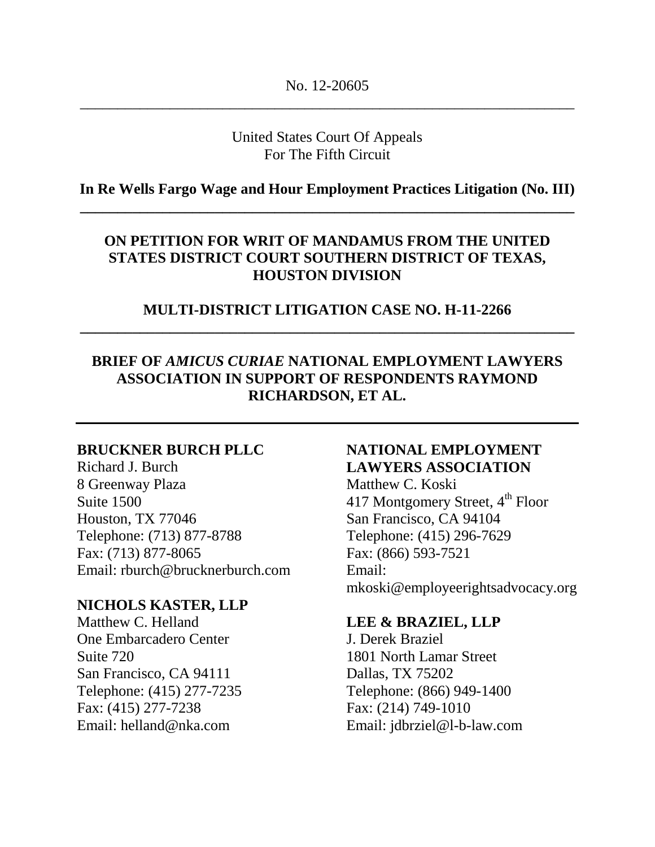# United States Court Of Appeals For The Fifth Circuit

# **In Re Wells Fargo Wage and Hour Employment Practices Litigation (No. III) \_\_\_\_\_\_\_\_\_\_\_\_\_\_\_\_\_\_\_\_\_\_\_\_\_\_\_\_\_\_\_\_\_\_\_\_\_\_\_\_\_\_\_\_\_\_\_\_\_\_\_\_\_\_\_\_\_\_\_\_\_\_\_\_\_\_**

# **ON PETITION FOR WRIT OF MANDAMUS FROM THE UNITED STATES DISTRICT COURT SOUTHERN DISTRICT OF TEXAS, HOUSTON DIVISION**

## **MULTI-DISTRICT LITIGATION CASE NO. H-11-2266 \_\_\_\_\_\_\_\_\_\_\_\_\_\_\_\_\_\_\_\_\_\_\_\_\_\_\_\_\_\_\_\_\_\_\_\_\_\_\_\_\_\_\_\_\_\_\_\_\_\_\_\_\_\_\_\_\_\_\_\_\_\_\_\_\_\_**

# **BRIEF OF** *AMICUS CURIAE* **NATIONAL EMPLOYMENT LAWYERS ASSOCIATION IN SUPPORT OF RESPONDENTS RAYMOND RICHARDSON, ET AL.**

### **BRUCKNER BURCH PLLC**

Richard J. Burch 8 Greenway Plaza Suite 1500 Houston, TX 77046 Telephone: (713) 877-8788 Fax: (713) 877-8065 Email: rburch@brucknerburch.com

### **NICHOLS KASTER, LLP**

Matthew C. Helland One Embarcadero Center Suite 720 San Francisco, CA 94111 Telephone: (415) 277-7235 Fax: (415) 277-7238 Email: helland@nka.com

## **NATIONAL EMPLOYMENT LAWYERS ASSOCIATION**

Matthew C. Koski 417 Montgomery Street, 4<sup>th</sup> Floor San Francisco, CA 94104 Telephone: (415) 296-7629 Fax: (866) 593-7521 Email: mkoski@employeerightsadvocacy.org

### **LEE & BRAZIEL, LLP**

J. Derek Braziel 1801 North Lamar Street Dallas, TX 75202 Telephone: (866) 949-1400 Fax: (214) 749-1010 Email: jdbrziel@l-b-law.com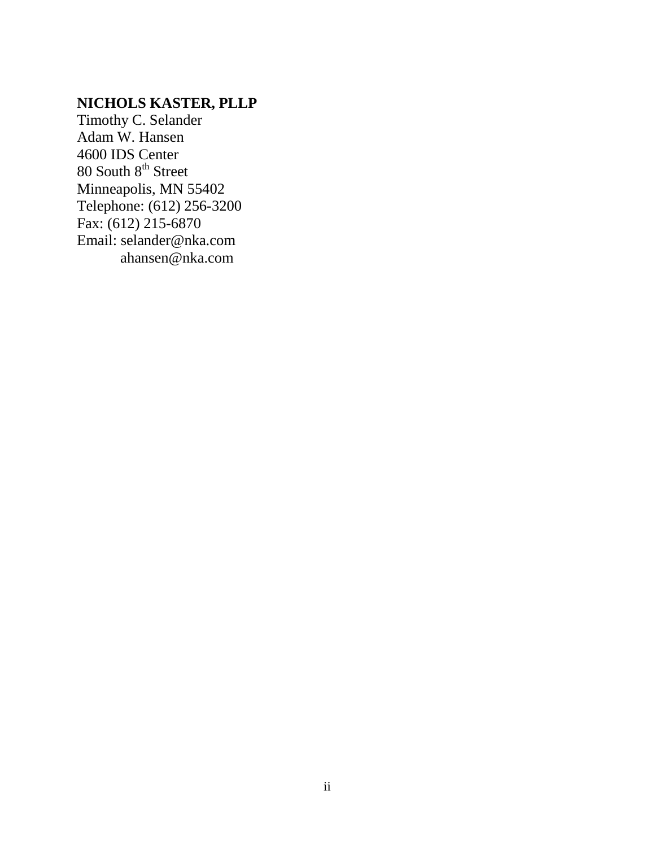# **NICHOLS KASTER, PLLP**

Timothy C. Selander Adam W. Hansen 4600 IDS Center  $80$  South  $8<sup>th</sup>$  Street Minneapolis, MN 55402 Telephone: (612) 256-3200 Fax: (612) 215-6870 Email: selander@nka.com ahansen@nka.com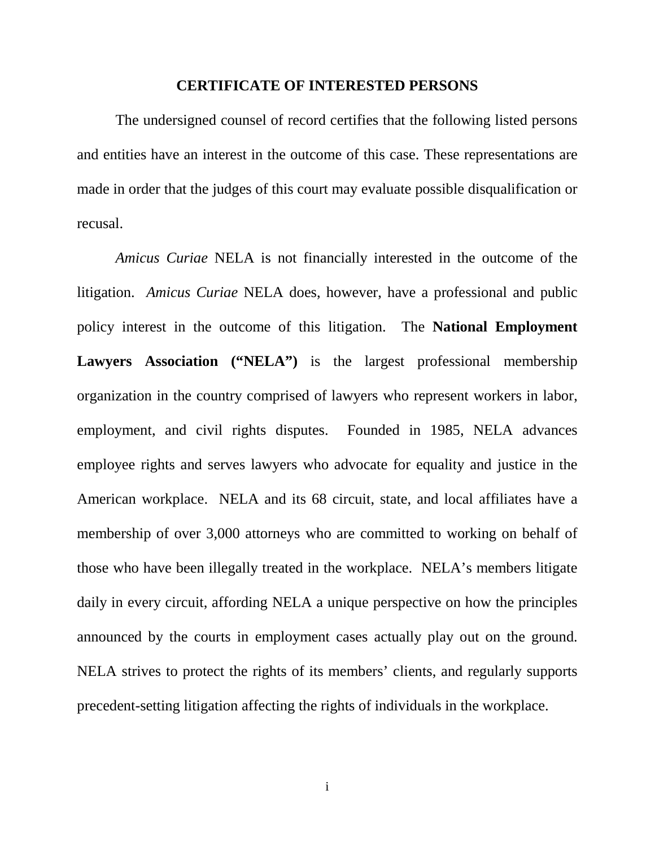#### **CERTIFICATE OF INTERESTED PERSONS**

The undersigned counsel of record certifies that the following listed persons and entities have an interest in the outcome of this case. These representations are made in order that the judges of this court may evaluate possible disqualification or recusal.

*Amicus Curiae* NELA is not financially interested in the outcome of the litigation. *Amicus Curiae* NELA does, however, have a professional and public policy interest in the outcome of this litigation. The **National Employment**  Lawyers Association ("NELA") is the largest professional membership organization in the country comprised of lawyers who represent workers in labor, employment, and civil rights disputes. Founded in 1985, NELA advances employee rights and serves lawyers who advocate for equality and justice in the American workplace. NELA and its 68 circuit, state, and local affiliates have a membership of over 3,000 attorneys who are committed to working on behalf of those who have been illegally treated in the workplace. NELA's members litigate daily in every circuit, affording NELA a unique perspective on how the principles announced by the courts in employment cases actually play out on the ground. NELA strives to protect the rights of its members' clients, and regularly supports precedent-setting litigation affecting the rights of individuals in the workplace.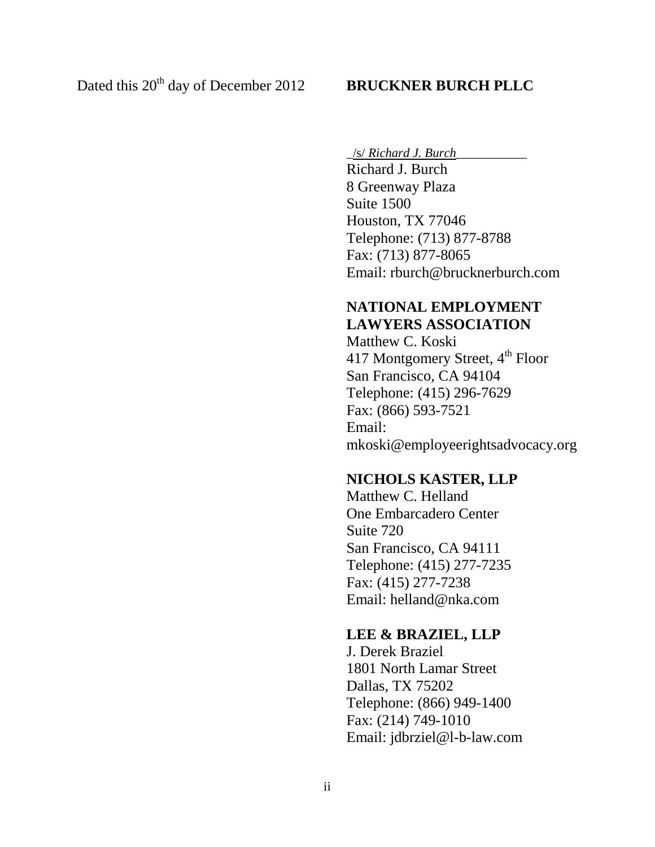\_/s/ *Richard J. Burch*\_\_\_\_\_\_\_\_\_\_\_

Richard J. Burch 8 Greenway Plaza Suite 1500 Houston, TX 77046 Telephone: (713) 877-8788 Fax: (713) 877-8065 Email: rburch@brucknerburch.com

# **NATIONAL EMPLOYMENT LAWYERS ASSOCIATION**

Matthew C. Koski 417 Montgomery Street, 4<sup>th</sup> Floor San Francisco, CA 94104 Telephone: (415) 296-7629 Fax: (866) 593-7521 Email: mkoski@employeerightsadvocacy.org

## **NICHOLS KASTER, LLP**

Matthew C. Helland One Embarcadero Center Suite 720 San Francisco, CA 94111 Telephone: (415) 277-7235 Fax: (415) 277-7238 Email: helland@nka.com

## **LEE & BRAZIEL, LLP**

J. Derek Braziel 1801 North Lamar Street Dallas, TX 75202 Telephone: (866) 949-1400 Fax: (214) 749-1010 Email: jdbrziel@l-b-law.com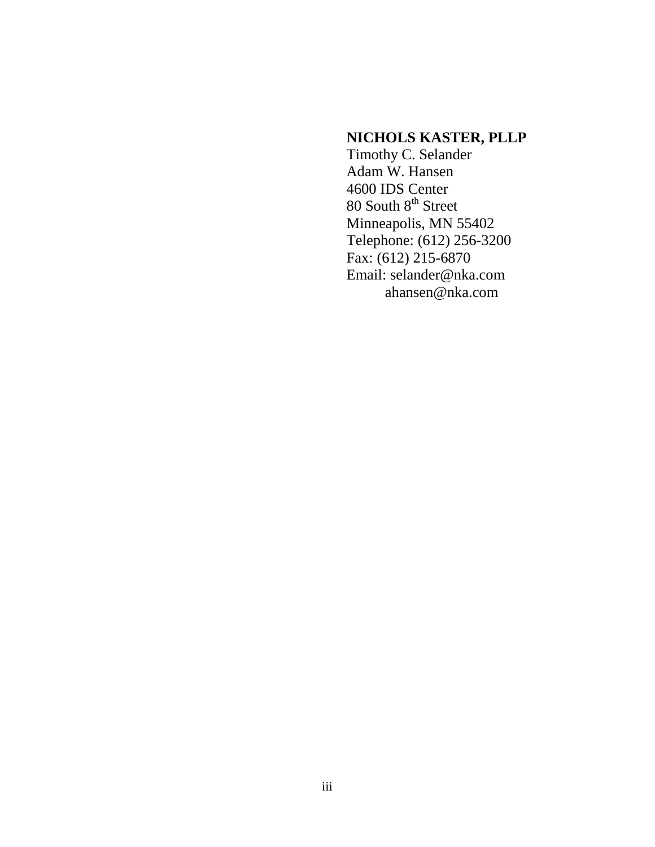# **NICHOLS KASTER, PLLP**

Timothy C. Selander Adam W. Hansen 4600 IDS Center 80 South  $8<sup>th</sup>$  Street Minneapolis, MN 55402 Telephone: (612) 256-3200 Fax: (612) 215-6870 Email: selander@nka.com ahansen@nka.com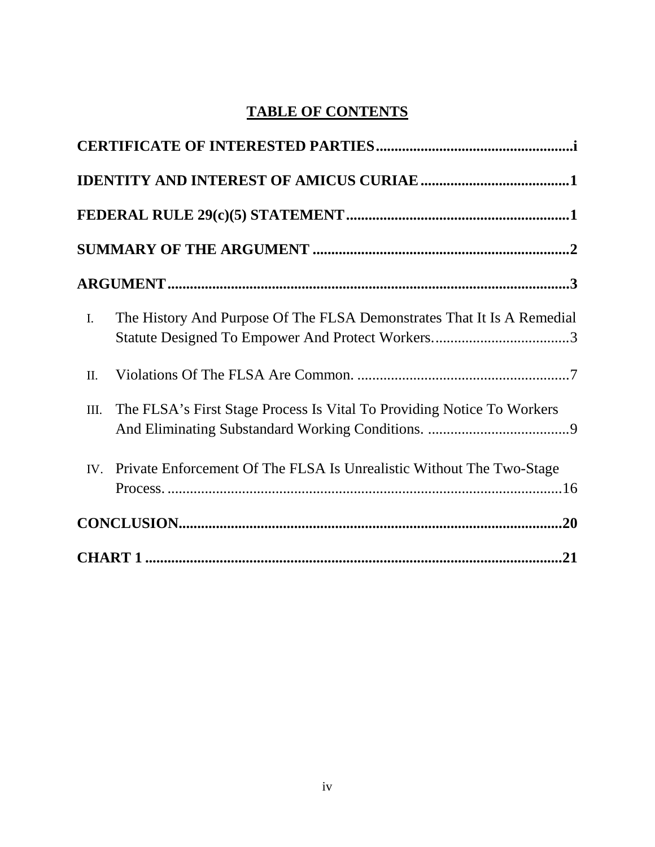# **TABLE OF CONTENTS**

| $\mathbf{I}$ . | The History And Purpose Of The FLSA Demonstrates That It Is A Remedial   |  |  |  |  |  |
|----------------|--------------------------------------------------------------------------|--|--|--|--|--|
| II.            |                                                                          |  |  |  |  |  |
| III.           | The FLSA's First Stage Process Is Vital To Providing Notice To Workers   |  |  |  |  |  |
|                | IV. Private Enforcement Of The FLSA Is Unrealistic Without The Two-Stage |  |  |  |  |  |
|                |                                                                          |  |  |  |  |  |
|                |                                                                          |  |  |  |  |  |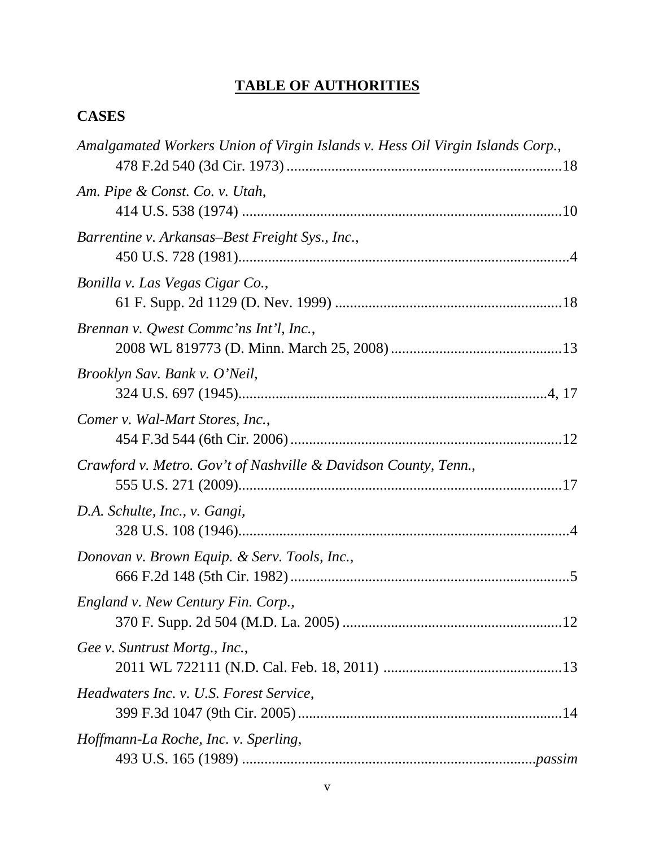# **TABLE OF AUTHORITIES**

# **CASES**

| Amalgamated Workers Union of Virgin Islands v. Hess Oil Virgin Islands Corp., |
|-------------------------------------------------------------------------------|
| Am. Pipe & Const. Co. v. Utah,                                                |
| Barrentine v. Arkansas–Best Freight Sys., Inc.,                               |
| Bonilla v. Las Vegas Cigar Co.,                                               |
| Brennan v. Qwest Commc'ns Int'l, Inc.,                                        |
| Brooklyn Sav. Bank v. O'Neil,                                                 |
| Comer v. Wal-Mart Stores, Inc.,                                               |
| Crawford v. Metro. Gov't of Nashville & Davidson County, Tenn.,               |
| D.A. Schulte, Inc., v. Gangi,                                                 |
| Donovan v. Brown Equip. & Serv. Tools, Inc.,                                  |
| England v. New Century Fin. Corp.,                                            |
| Gee v. Suntrust Mortg., Inc.,                                                 |
| Headwaters Inc. v. U.S. Forest Service,                                       |
| Hoffmann-La Roche, Inc. v. Sperling,                                          |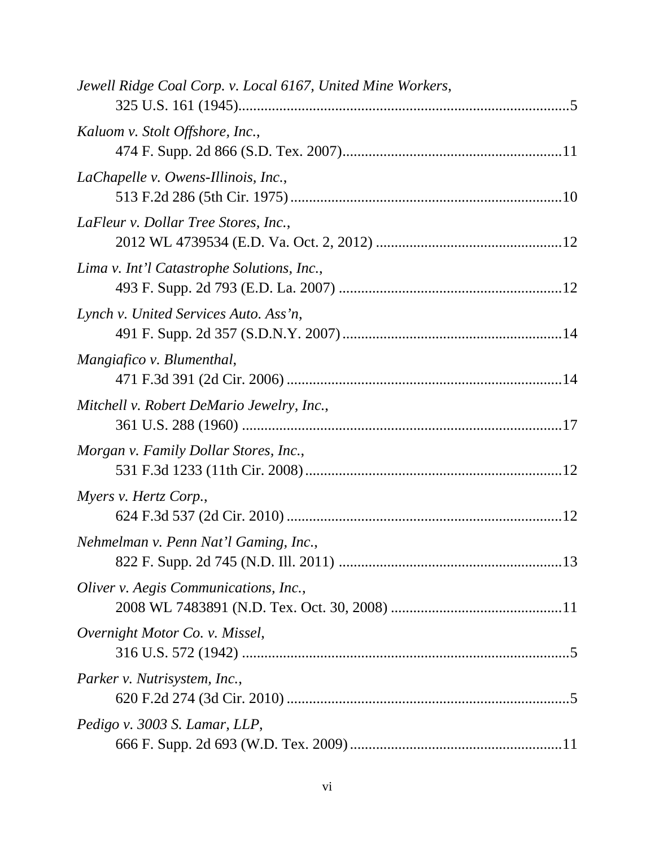| Jewell Ridge Coal Corp. v. Local 6167, United Mine Workers, |
|-------------------------------------------------------------|
| Kaluom v. Stolt Offshore, Inc.,                             |
| LaChapelle v. Owens-Illinois, Inc.,                         |
| LaFleur v. Dollar Tree Stores, Inc.,                        |
| Lima v. Int'l Catastrophe Solutions, Inc.,                  |
| Lynch v. United Services Auto. Ass'n,                       |
| Mangiafico v. Blumenthal,                                   |
| Mitchell v. Robert DeMario Jewelry, Inc.,                   |
| Morgan v. Family Dollar Stores, Inc.,                       |
| Myers v. Hertz Corp.,                                       |
| Nehmelman v. Penn Nat'l Gaming, Inc.,                       |
| Oliver v. Aegis Communications, Inc.,                       |
| Overnight Motor Co. v. Missel,                              |
| Parker v. Nutrisystem, Inc.,                                |
| Pedigo v. 3003 S. Lamar, LLP,                               |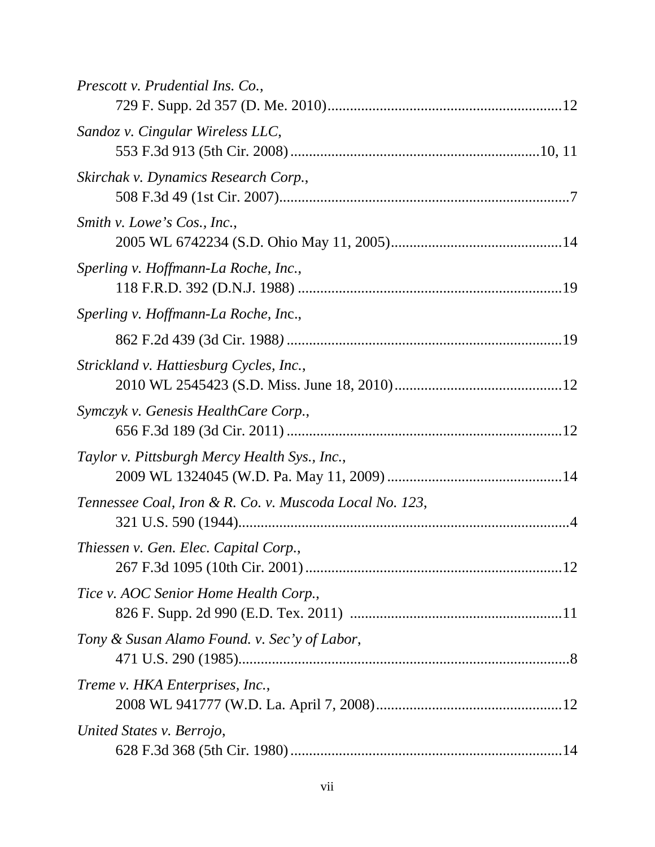| Prescott v. Prudential Ins. Co.,                        |
|---------------------------------------------------------|
| Sandoz v. Cingular Wireless LLC,                        |
| Skirchak v. Dynamics Research Corp.,                    |
| Smith v. Lowe's Cos., Inc.,                             |
| Sperling v. Hoffmann-La Roche, Inc.,                    |
| Sperling v. Hoffmann-La Roche, Inc.,                    |
|                                                         |
| Strickland v. Hattiesburg Cycles, Inc.,                 |
| Symczyk v. Genesis HealthCare Corp.,                    |
| Taylor v. Pittsburgh Mercy Health Sys., Inc.,           |
| Tennessee Coal, Iron & R. Co. v. Muscoda Local No. 123, |
| Thiessen v. Gen. Elec. Capital Corp.,                   |
| Tice v. AOC Senior Home Health Corp.,                   |
| Tony & Susan Alamo Found. v. Sec'y of Labor,            |
| Treme v. HKA Enterprises, Inc.,                         |
| United States v. Berrojo,                               |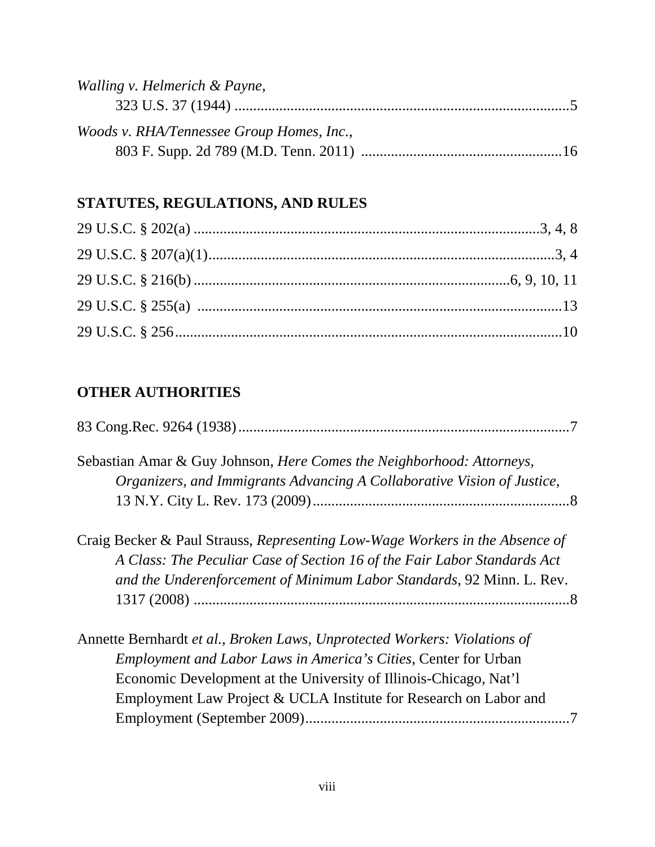| Walling v. Helmerich & Payne,             |  |
|-------------------------------------------|--|
|                                           |  |
| Woods v. RHA/Tennessee Group Homes, Inc., |  |
|                                           |  |

# **STATUTES, REGULATIONS, AND RULES**

# **OTHER AUTHORITIES**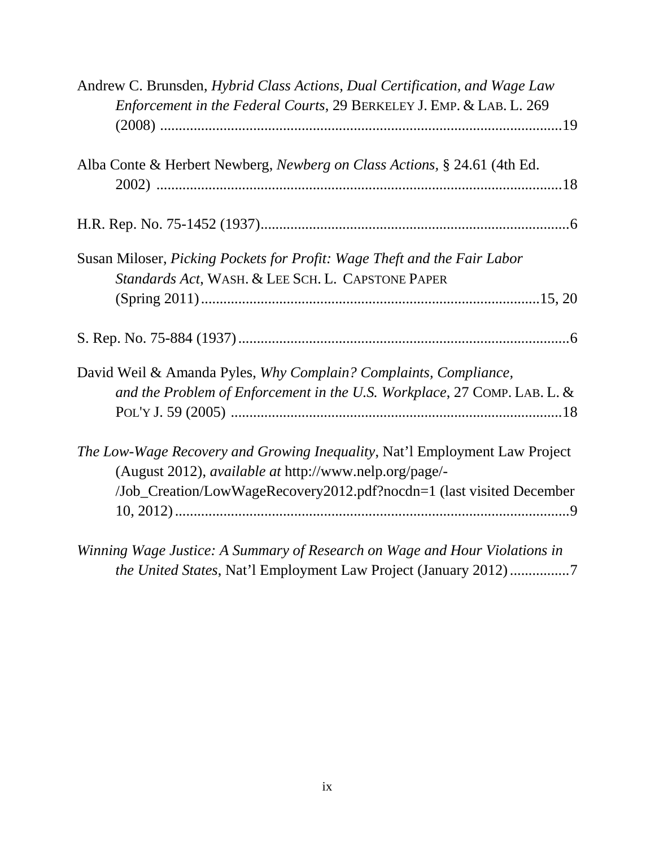| Andrew C. Brunsden, Hybrid Class Actions, Dual Certification, and Wage Law |
|----------------------------------------------------------------------------|
| Enforcement in the Federal Courts, 29 BERKELEY J. EMP. & LAB. L. 269       |
|                                                                            |
|                                                                            |
| Alba Conte & Herbert Newberg, Newberg on Class Actions, § 24.61 (4th Ed.   |
|                                                                            |
|                                                                            |
| Susan Miloser, Picking Pockets for Profit: Wage Theft and the Fair Labor   |
| Standards Act, WASH. & LEE SCH. L. CAPSTONE PAPER                          |
|                                                                            |
|                                                                            |
| David Weil & Amanda Pyles, Why Complain? Complaints, Compliance,           |
| and the Problem of Enforcement in the U.S. Workplace, 27 COMP. LAB. L. &   |
|                                                                            |
| The Low-Wage Recovery and Growing Inequality, Nat'l Employment Law Project |
| (August 2012), available at http://www.nelp.org/page/-                     |
| /Job_Creation/LowWageRecovery2012.pdf?nocdn=1 (last visited December       |
|                                                                            |
| Winning Wage Justice: A Summary of Research on Wage and Hour Violations in |
| the United States, Nat'l Employment Law Project (January 2012)7            |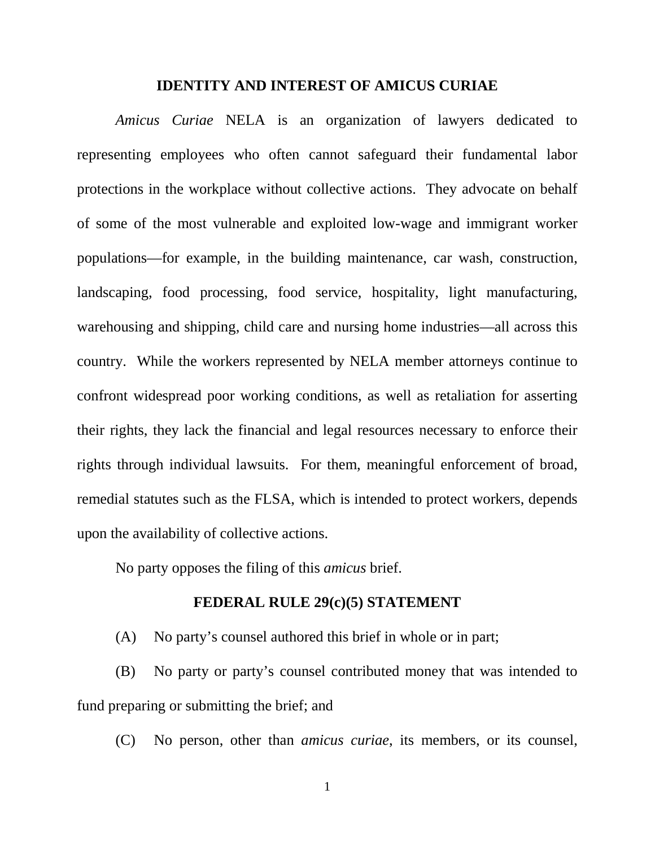#### **IDENTITY AND INTEREST OF AMICUS CURIAE**

*Amicus Curiae* NELA is an organization of lawyers dedicated to representing employees who often cannot safeguard their fundamental labor protections in the workplace without collective actions. They advocate on behalf of some of the most vulnerable and exploited low-wage and immigrant worker populations—for example, in the building maintenance, car wash, construction, landscaping, food processing, food service, hospitality, light manufacturing, warehousing and shipping, child care and nursing home industries—all across this country. While the workers represented by NELA member attorneys continue to confront widespread poor working conditions, as well as retaliation for asserting their rights, they lack the financial and legal resources necessary to enforce their rights through individual lawsuits. For them, meaningful enforcement of broad, remedial statutes such as the FLSA, which is intended to protect workers, depends upon the availability of collective actions.

No party opposes the filing of this *amicus* brief.

### **FEDERAL RULE 29(c)(5) STATEMENT**

(A) No party's counsel authored this brief in whole or in part;

(B) No party or party's counsel contributed money that was intended to fund preparing or submitting the brief; and

(C) No person, other than *amicus curiae*, its members, or its counsel,

1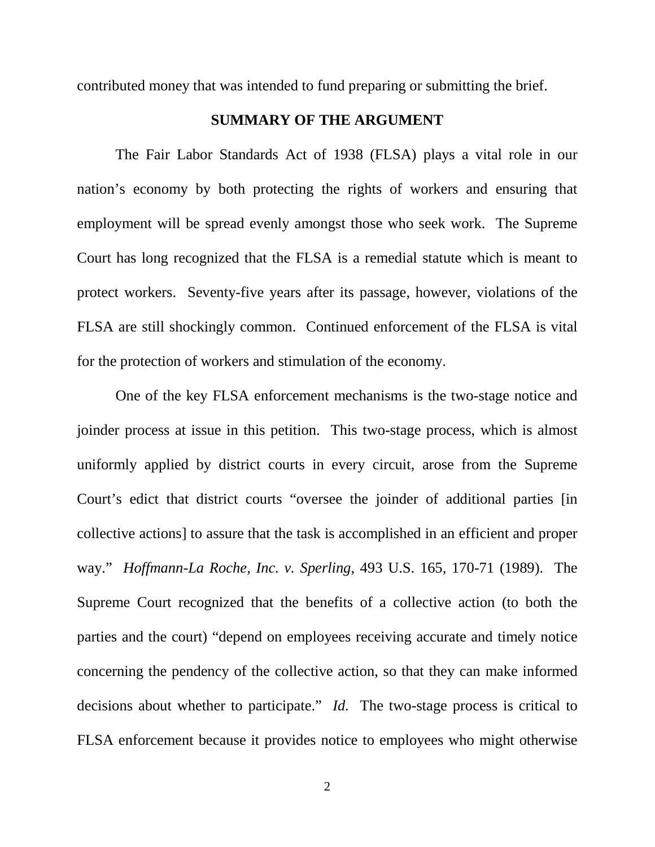contributed money that was intended to fund preparing or submitting the brief.

### **SUMMARY OF THE ARGUMENT**

The Fair Labor Standards Act of 1938 (FLSA) plays a vital role in our nation's economy by both protecting the rights of workers and ensuring that employment will be spread evenly amongst those who seek work. The Supreme Court has long recognized that the FLSA is a remedial statute which is meant to protect workers. Seventy-five years after its passage, however, violations of the FLSA are still shockingly common. Continued enforcement of the FLSA is vital for the protection of workers and stimulation of the economy.

One of the key FLSA enforcement mechanisms is the two-stage notice and joinder process at issue in this petition. This two-stage process, which is almost uniformly applied by district courts in every circuit, arose from the Supreme Court's edict that district courts "oversee the joinder of additional parties [in collective actions] to assure that the task is accomplished in an efficient and proper way." *Hoffmann-La Roche, Inc. v. Sperling*, 493 U.S. 165, 170-71 (1989). The Supreme Court recognized that the benefits of a collective action (to both the parties and the court) "depend on employees receiving accurate and timely notice concerning the pendency of the collective action, so that they can make informed decisions about whether to participate." *Id.* The two-stage process is critical to FLSA enforcement because it provides notice to employees who might otherwise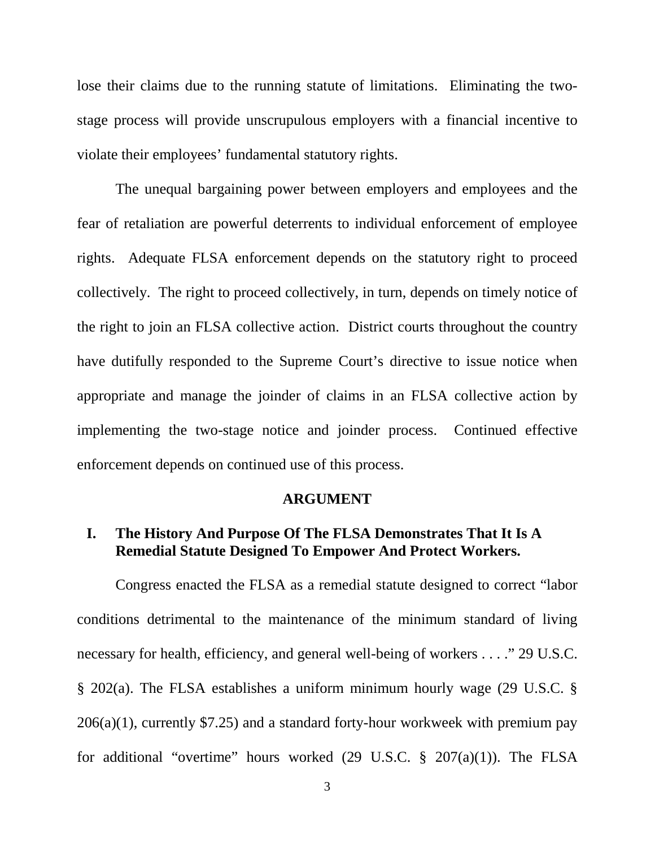lose their claims due to the running statute of limitations. Eliminating the twostage process will provide unscrupulous employers with a financial incentive to violate their employees' fundamental statutory rights.

The unequal bargaining power between employers and employees and the fear of retaliation are powerful deterrents to individual enforcement of employee rights. Adequate FLSA enforcement depends on the statutory right to proceed collectively. The right to proceed collectively, in turn, depends on timely notice of the right to join an FLSA collective action. District courts throughout the country have dutifully responded to the Supreme Court's directive to issue notice when appropriate and manage the joinder of claims in an FLSA collective action by implementing the two-stage notice and joinder process. Continued effective enforcement depends on continued use of this process.

### **ARGUMENT**

## **I. The History And Purpose Of The FLSA Demonstrates That It Is A Remedial Statute Designed To Empower And Protect Workers.**

Congress enacted the FLSA as a remedial statute designed to correct "labor conditions detrimental to the maintenance of the minimum standard of living necessary for health, efficiency, and general well-being of workers . . . ." 29 U.S.C. § 202(a). The FLSA establishes a uniform minimum hourly wage (29 U.S.C. § 206(a)(1), currently \$7.25) and a standard forty-hour workweek with premium pay for additional "overtime" hours worked  $(29 \text{ U.S.C. } § 207(a)(1))$ . The FLSA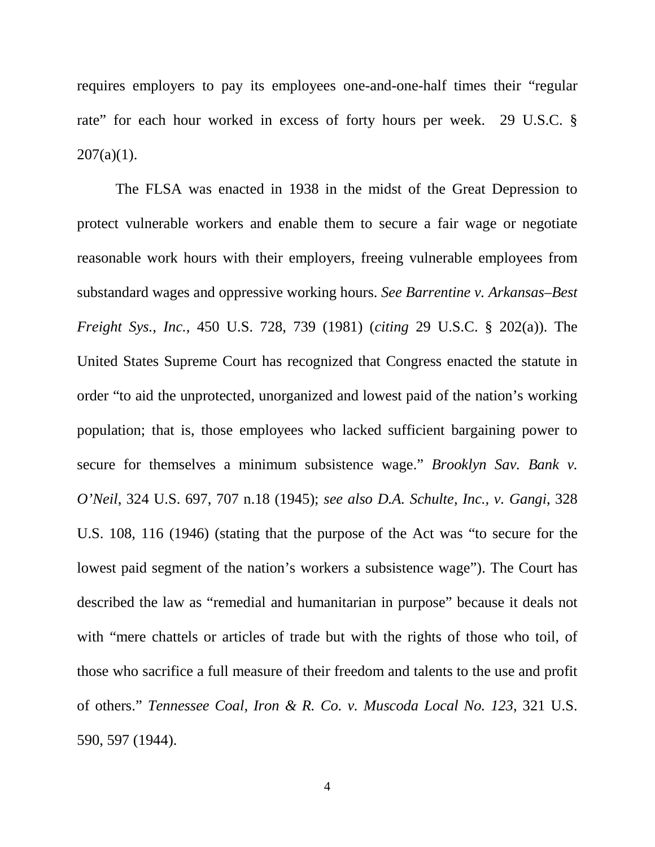requires employers to pay its employees one-and-one-half times their "regular rate" for each hour worked in excess of forty hours per week. 29 U.S.C. §  $207(a)(1)$ .

The FLSA was enacted in 1938 in the midst of the Great Depression to protect vulnerable workers and enable them to secure a fair wage or negotiate reasonable work hours with their employers, freeing vulnerable employees from substandard wages and oppressive working hours. *See Barrentine v. Arkansas–Best Freight Sys., Inc.*, 450 U.S. 728, 739 (1981) (*citing* 29 U.S.C. § 202(a)). The United States Supreme Court has recognized that Congress enacted the statute in order "to aid the unprotected, unorganized and lowest paid of the nation's working population; that is, those employees who lacked sufficient bargaining power to secure for themselves a minimum subsistence wage." *Brooklyn Sav. Bank v. O'Neil*, 324 U.S. 697, 707 n.18 (1945); *see also D.A. Schulte, Inc., v. Gangi*, 328 U.S. 108, 116 (1946) (stating that the purpose of the Act was "to secure for the lowest paid segment of the nation's workers a subsistence wage"). The Court has described the law as "remedial and humanitarian in purpose" because it deals not with "mere chattels or articles of trade but with the rights of those who toil, of those who sacrifice a full measure of their freedom and talents to the use and profit of others." *Tennessee Coal, Iron & R. Co. v. Muscoda Local No. 123*, 321 U.S. 590, 597 (1944).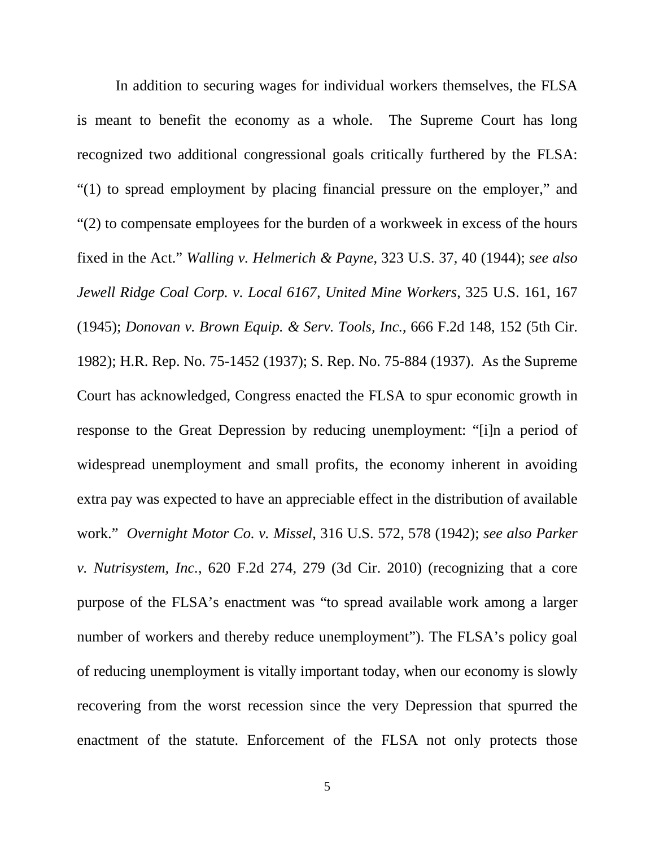In addition to securing wages for individual workers themselves, the FLSA is meant to benefit the economy as a whole. The Supreme Court has long recognized two additional congressional goals critically furthered by the FLSA: "(1) to spread employment by placing financial pressure on the employer," and "(2) to compensate employees for the burden of a workweek in excess of the hours fixed in the Act." *Walling v. Helmerich & Payne*, 323 U.S. 37, 40 (1944); *see also Jewell Ridge Coal Corp. v. Local 6167, United Mine Workers*, 325 U.S. 161, 167 (1945); *Donovan v. Brown Equip. & Serv. Tools, Inc.*, 666 F.2d 148, 152 (5th Cir. 1982); H.R. Rep. No. 75-1452 (1937); S. Rep. No. 75-884 (1937). As the Supreme Court has acknowledged, Congress enacted the FLSA to spur economic growth in response to the Great Depression by reducing unemployment: "[i]n a period of widespread unemployment and small profits, the economy inherent in avoiding extra pay was expected to have an appreciable effect in the distribution of available work." *Overnight Motor Co. v. Missel*, 316 U.S. 572, 578 (1942); *see also Parker v. Nutrisystem, Inc.*, 620 F.2d 274, 279 (3d Cir. 2010) (recognizing that a core purpose of the FLSA's enactment was "to spread available work among a larger number of workers and thereby reduce unemployment"). The FLSA's policy goal of reducing unemployment is vitally important today, when our economy is slowly recovering from the worst recession since the very Depression that spurred the enactment of the statute. Enforcement of the FLSA not only protects those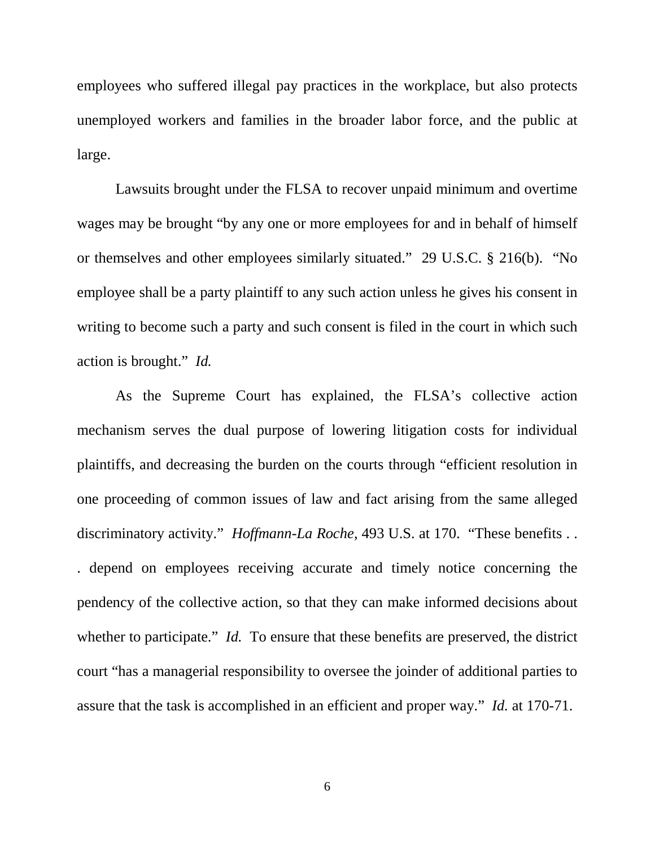employees who suffered illegal pay practices in the workplace, but also protects unemployed workers and families in the broader labor force, and the public at large.

Lawsuits brought under the FLSA to recover unpaid minimum and overtime wages may be brought "by any one or more employees for and in behalf of himself or themselves and other employees similarly situated." 29 U.S.C. § 216(b). "No employee shall be a party plaintiff to any such action unless he gives his consent in writing to become such a party and such consent is filed in the court in which such action is brought." *Id.*

As the Supreme Court has explained, the FLSA's collective action mechanism serves the dual purpose of lowering litigation costs for individual plaintiffs, and decreasing the burden on the courts through "efficient resolution in one proceeding of common issues of law and fact arising from the same alleged discriminatory activity." *Hoffmann-La Roche*, 493 U.S. at 170. "These benefits . . . depend on employees receiving accurate and timely notice concerning the pendency of the collective action, so that they can make informed decisions about whether to participate." *Id.* To ensure that these benefits are preserved, the district court "has a managerial responsibility to oversee the joinder of additional parties to assure that the task is accomplished in an efficient and proper way." *Id.* at 170-71.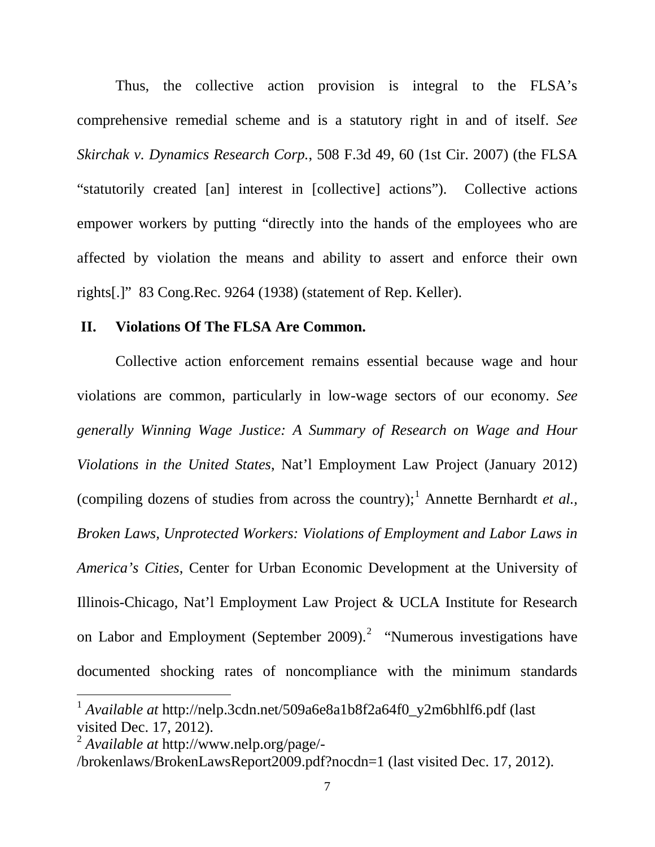Thus, the collective action provision is integral to the FLSA's comprehensive remedial scheme and is a statutory right in and of itself. *See Skirchak v. Dynamics Research Corp.*, 508 F.3d 49, 60 (1st Cir. 2007) (the FLSA "statutorily created [an] interest in [collective] actions"). Collective actions empower workers by putting "directly into the hands of the employees who are affected by violation the means and ability to assert and enforce their own rights[.]" 83 Cong.Rec. 9264 (1938) (statement of Rep. Keller).

#### **II. Violations Of The FLSA Are Common.**

Collective action enforcement remains essential because wage and hour violations are common, particularly in low-wage sectors of our economy. *See generally Winning Wage Justice: A Summary of Research on Wage and Hour Violations in the United States*, Nat'l Employment Law Project (January 2012) (compiling dozens of studies from across the country);<sup>[1](#page-17-0)</sup> Annette Bernhardt *et al.*, *Broken Laws, Unprotected Workers: Violations of Employment and Labor Laws in America's Cities*, Center for Urban Economic Development at the University of Illinois-Chicago, Nat'l Employment Law Project & UCLA Institute for Research on Labor and Employment (September [2](#page-17-1)009).<sup>2</sup> "Numerous investigations have documented shocking rates of noncompliance with the minimum standards

 $\overline{a}$ 

<span id="page-17-0"></span><sup>1</sup> *Available at* http://nelp.3cdn.net/509a6e8a1b8f2a64f0\_y2m6bhlf6.pdf (last visited Dec. 17, 2012).

<span id="page-17-1"></span><sup>2</sup> *Available at* http://www.nelp.org/page/-

<sup>/</sup>brokenlaws/BrokenLawsReport2009.pdf?nocdn=1 (last visited Dec. 17, 2012).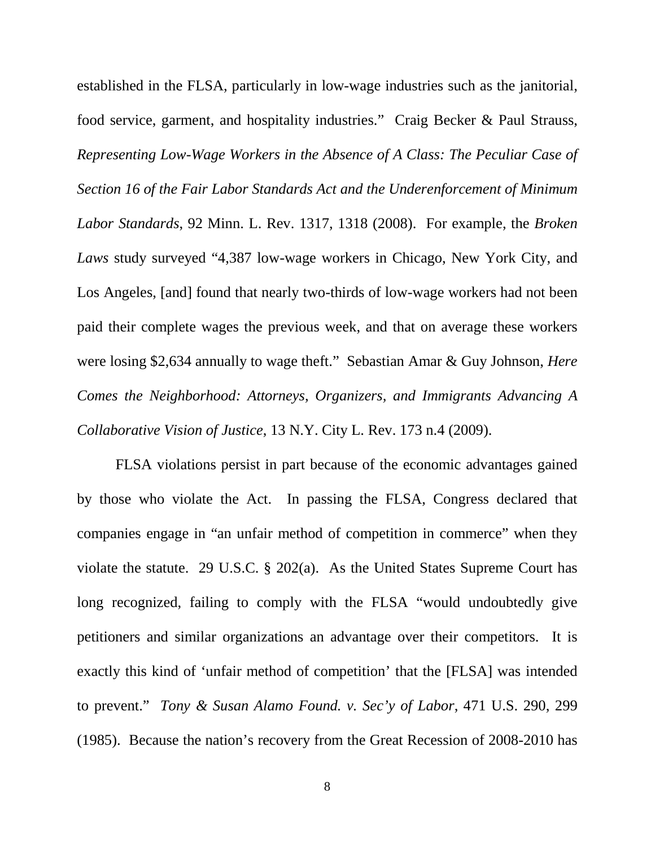established in the FLSA, particularly in low-wage industries such as the janitorial, food service, garment, and hospitality industries." Craig Becker & Paul Strauss, *Representing Low-Wage Workers in the Absence of A Class: The Peculiar Case of Section 16 of the Fair Labor Standards Act and the Underenforcement of Minimum Labor Standards*, 92 Minn. L. Rev. 1317, 1318 (2008). For example, the *Broken Laws* study surveyed "4,387 low-wage workers in Chicago, New York City, and Los Angeles, [and] found that nearly two-thirds of low-wage workers had not been paid their complete wages the previous week, and that on average these workers were losing \$2,634 annually to wage theft." Sebastian Amar & Guy Johnson, *Here Comes the Neighborhood: Attorneys, Organizers, and Immigrants Advancing A Collaborative Vision of Justice*, 13 N.Y. City L. Rev. 173 n.4 (2009).

FLSA violations persist in part because of the economic advantages gained by those who violate the Act. In passing the FLSA, Congress declared that companies engage in "an unfair method of competition in commerce" when they violate the statute. 29 U.S.C. § 202(a). As the United States Supreme Court has long recognized, failing to comply with the FLSA "would undoubtedly give petitioners and similar organizations an advantage over their competitors. It is exactly this kind of 'unfair method of competition' that the [FLSA] was intended to prevent." *Tony & Susan Alamo Found. v. Sec'y of Labor*, 471 U.S. 290, 299 (1985). Because the nation's recovery from the Great Recession of 2008-2010 has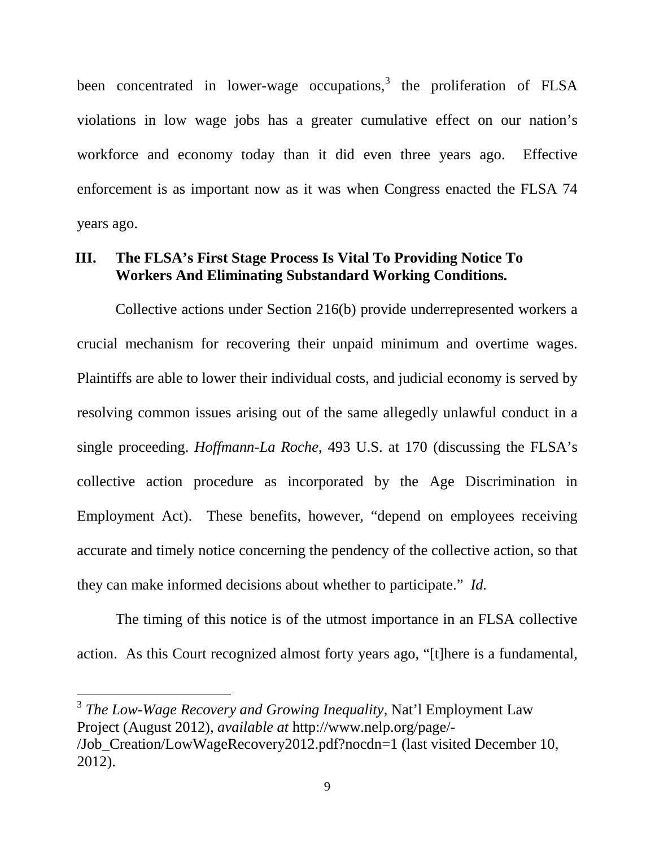been concentrated in lower-wage occupations, $3$  the proliferation of FLSA violations in low wage jobs has a greater cumulative effect on our nation's workforce and economy today than it did even three years ago. Effective enforcement is as important now as it was when Congress enacted the FLSA 74 years ago.

### **III. The FLSA's First Stage Process Is Vital To Providing Notice To Workers And Eliminating Substandard Working Conditions.**

Collective actions under Section 216(b) provide underrepresented workers a crucial mechanism for recovering their unpaid minimum and overtime wages. Plaintiffs are able to lower their individual costs, and judicial economy is served by resolving common issues arising out of the same allegedly unlawful conduct in a single proceeding. *Hoffmann-La Roche*, 493 U.S. at 170 (discussing the FLSA's collective action procedure as incorporated by the Age Discrimination in Employment Act). These benefits, however, "depend on employees receiving accurate and timely notice concerning the pendency of the collective action, so that they can make informed decisions about whether to participate." *Id.*

The timing of this notice is of the utmost importance in an FLSA collective action. As this Court recognized almost forty years ago, "[t]here is a fundamental,

<span id="page-19-0"></span><sup>3</sup> *The Low-Wage Recovery and Growing Inequality*, Nat'l Employment Law Project (August 2012), *available at* http://www.nelp.org/page/- /Job\_Creation/LowWageRecovery2012.pdf?nocdn=1 (last visited December 10, 2012).

 $\overline{a}$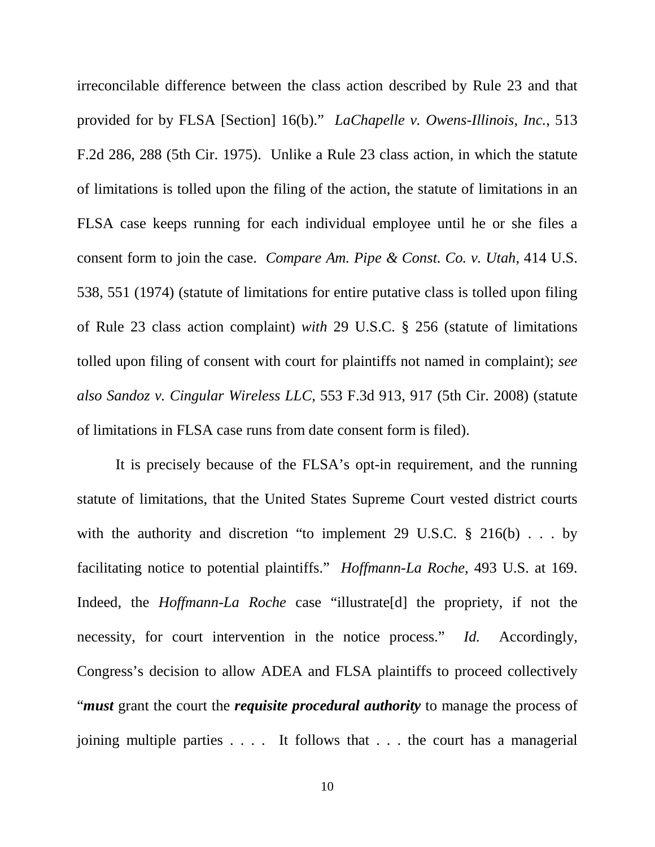irreconcilable difference between the class action described by Rule 23 and that provided for by FLSA [Section] 16(b)." *LaChapelle v. Owens-Illinois, Inc.*, 513 F.2d 286, 288 (5th Cir. 1975). Unlike a Rule 23 class action, in which the statute of limitations is tolled upon the filing of the action, the statute of limitations in an FLSA case keeps running for each individual employee until he or she files a consent form to join the case. *Compare Am. Pipe & Const. Co. v. Utah*, 414 U.S. 538, 551 (1974) (statute of limitations for entire putative class is tolled upon filing of Rule 23 class action complaint) *with* 29 U.S.C. § 256 (statute of limitations tolled upon filing of consent with court for plaintiffs not named in complaint); *see also Sandoz v. Cingular Wireless LLC*, 553 F.3d 913, 917 (5th Cir. 2008) (statute of limitations in FLSA case runs from date consent form is filed).

It is precisely because of the FLSA's opt-in requirement, and the running statute of limitations, that the United States Supreme Court vested district courts with the authority and discretion "to implement 29 U.S.C.  $\S$  216(b) . . . by facilitating notice to potential plaintiffs." *Hoffmann-La Roche*, 493 U.S. at 169. Indeed, the *Hoffmann-La Roche* case "illustrate[d] the propriety, if not the necessity, for court intervention in the notice process." *Id.* Accordingly, Congress's decision to allow ADEA and FLSA plaintiffs to proceed collectively "*must* grant the court the *requisite procedural authority* to manage the process of joining multiple parties . . . . It follows that . . . the court has a managerial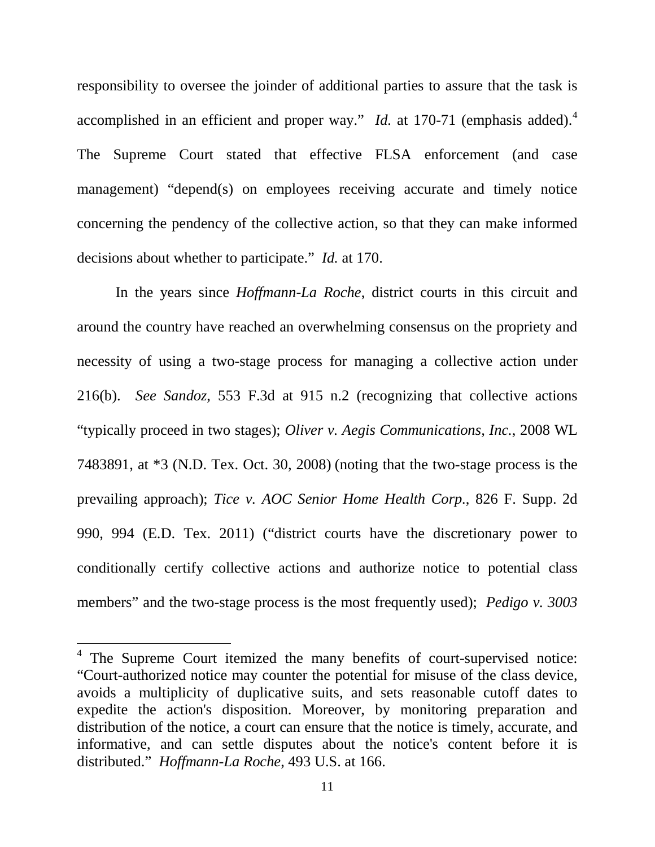responsibility to oversee the joinder of additional parties to assure that the task is accomplished in an efficient and proper way." *Id.* at 170-71 (emphasis added).<sup>[4](#page-21-0)</sup> The Supreme Court stated that effective FLSA enforcement (and case management) "depend(s) on employees receiving accurate and timely notice concerning the pendency of the collective action, so that they can make informed decisions about whether to participate." *Id.* at 170.

In the years since *Hoffmann-La Roche*, district courts in this circuit and around the country have reached an overwhelming consensus on the propriety and necessity of using a two-stage process for managing a collective action under 216(b). *See Sandoz*, 553 F.3d at 915 n.2 (recognizing that collective actions "typically proceed in two stages); *Oliver v. Aegis Communications, Inc.*, 2008 WL 7483891, at \*3 (N.D. Tex. Oct. 30, 2008) (noting that the two-stage process is the prevailing approach); *Tice v. AOC Senior Home Health Corp.*, 826 F. Supp. 2d 990, 994 (E.D. Tex. 2011) ("district courts have the discretionary power to conditionally certify collective actions and authorize notice to potential class members" and the two-stage process is the most frequently used); *Pedigo v.* 3003

 $\overline{a}$ 

<span id="page-21-0"></span><sup>&</sup>lt;sup>4</sup> The Supreme Court itemized the many benefits of court-supervised notice: "Court-authorized notice may counter the potential for misuse of the class device, avoids a multiplicity of duplicative suits, and sets reasonable cutoff dates to expedite the action's disposition. Moreover, by monitoring preparation and distribution of the notice, a court can ensure that the notice is timely, accurate, and informative, and can settle disputes about the notice's content before it is distributed." *Hoffmann-La Roche*, 493 U.S. at 166.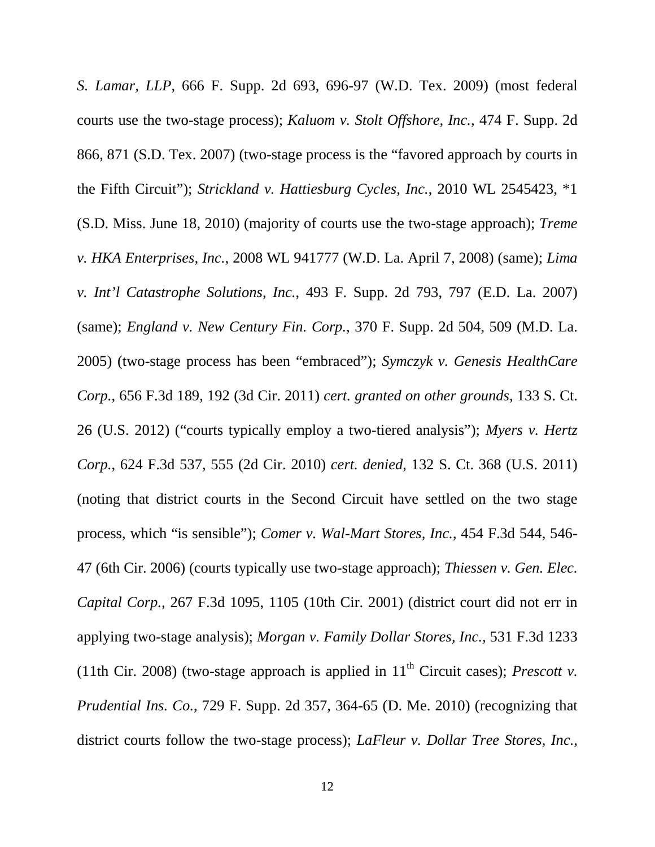*S. Lamar, LLP*, 666 F. Supp. 2d 693, 696-97 (W.D. Tex. 2009) (most federal courts use the two-stage process); *Kaluom v. Stolt Offshore, Inc.*, 474 F. Supp. 2d 866, 871 (S.D. Tex. 2007) (two-stage process is the "favored approach by courts in the Fifth Circuit"); *Strickland v. Hattiesburg Cycles, Inc.*, 2010 WL 2545423, \*1 (S.D. Miss. June 18, 2010) (majority of courts use the two-stage approach); *Treme v. HKA Enterprises, Inc.*, 2008 WL 941777 (W.D. La. April 7, 2008) (same); *Lima v. Int'l Catastrophe Solutions, Inc.*, 493 F. Supp. 2d 793, 797 (E.D. La. 2007) (same); *England v. New Century Fin. Corp.*, 370 F. Supp. 2d 504, 509 (M.D. La. 2005) (two-stage process has been "embraced"); *Symczyk v. Genesis HealthCare Corp.*, 656 F.3d 189, 192 (3d Cir. 2011) *cert. granted on other grounds*, 133 S. Ct. 26 (U.S. 2012) ("courts typically employ a two-tiered analysis"); *Myers v. Hertz Corp.*, 624 F.3d 537, 555 (2d Cir. 2010) *cert. denied*, 132 S. Ct. 368 (U.S. 2011) (noting that district courts in the Second Circuit have settled on the two stage process, which "is sensible"); *Comer v. Wal-Mart Stores, Inc.*, 454 F.3d 544, 546- 47 (6th Cir. 2006) (courts typically use two-stage approach); *Thiessen v. Gen. Elec. Capital Corp.*, 267 F.3d 1095, 1105 (10th Cir. 2001) (district court did not err in applying two-stage analysis); *Morgan v. Family Dollar Stores, Inc.*, 531 F.3d 1233 (11th Cir. 2008) (two-stage approach is applied in  $11<sup>th</sup>$  Circuit cases); *Prescott v. Prudential Ins. Co.*, 729 F. Supp. 2d 357, 364-65 (D. Me. 2010) (recognizing that district courts follow the two-stage process); *LaFleur v. Dollar Tree Stores, Inc.*,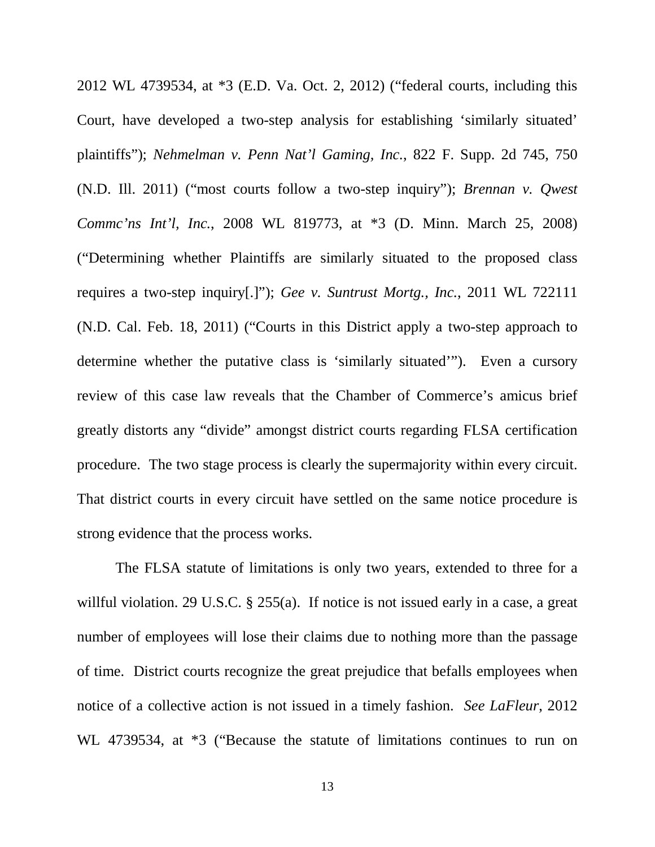2012 WL 4739534, at \*3 (E.D. Va. Oct. 2, 2012) ("federal courts, including this Court, have developed a two-step analysis for establishing 'similarly situated' plaintiffs"); *Nehmelman v. Penn Nat'l Gaming, Inc.*, 822 F. Supp. 2d 745, 750 (N.D. Ill. 2011) ("most courts follow a two-step inquiry"); *Brennan v. Qwest Commc'ns Int'l, Inc.*, 2008 WL 819773, at \*3 (D. Minn. March 25, 2008) ("Determining whether Plaintiffs are similarly situated to the proposed class requires a two-step inquiry[.]"); *Gee v. Suntrust Mortg., Inc.*, 2011 WL 722111 (N.D. Cal. Feb. 18, 2011) ("Courts in this District apply a two-step approach to determine whether the putative class is 'similarly situated'"). Even a cursory review of this case law reveals that the Chamber of Commerce's amicus brief greatly distorts any "divide" amongst district courts regarding FLSA certification procedure. The two stage process is clearly the supermajority within every circuit. That district courts in every circuit have settled on the same notice procedure is strong evidence that the process works.

The FLSA statute of limitations is only two years, extended to three for a willful violation. 29 U.S.C. § 255(a). If notice is not issued early in a case, a great number of employees will lose their claims due to nothing more than the passage of time. District courts recognize the great prejudice that befalls employees when notice of a collective action is not issued in a timely fashion. *See LaFleur*, 2012 WL 4739534, at \*3 ("Because the statute of limitations continues to run on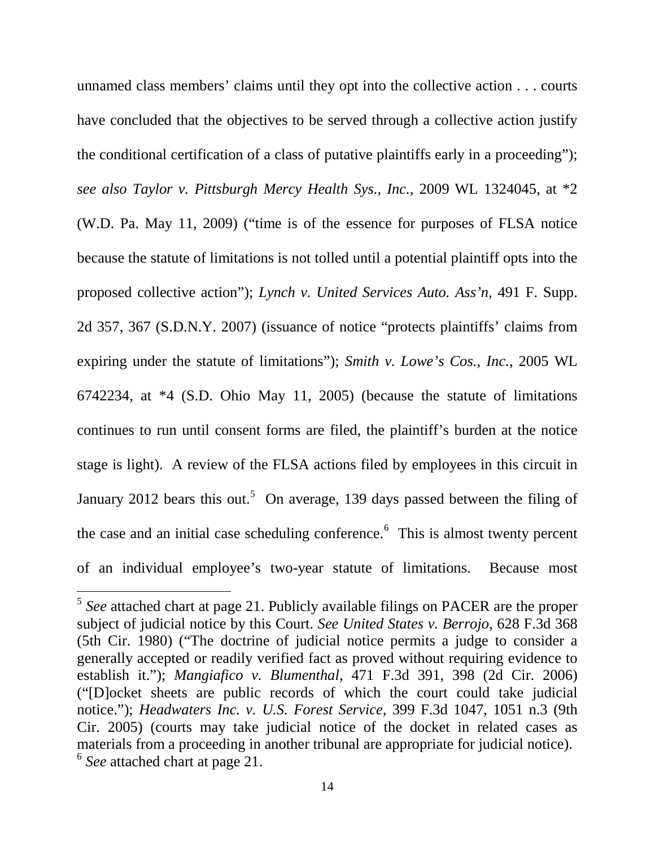unnamed class members' claims until they opt into the collective action . . . courts have concluded that the objectives to be served through a collective action justify the conditional certification of a class of putative plaintiffs early in a proceeding"); *see also Taylor v. Pittsburgh Mercy Health Sys., Inc.*, 2009 WL 1324045, at \*2 (W.D. Pa. May 11, 2009) ("time is of the essence for purposes of FLSA notice because the statute of limitations is not tolled until a potential plaintiff opts into the proposed collective action"); *Lynch v. United Services Auto. Ass'n*, 491 F. Supp. 2d 357, 367 (S.D.N.Y. 2007) (issuance of notice "protects plaintiffs' claims from expiring under the statute of limitations"); *Smith v. Lowe's Cos., Inc.*, 2005 WL 6742234, at \*4 (S.D. Ohio May 11, 2005) (because the statute of limitations continues to run until consent forms are filed, the plaintiff's burden at the notice stage is light). A review of the FLSA actions filed by employees in this circuit in January 2012 bears this out.<sup>[5](#page-24-0)</sup> On average, 139 days passed between the filing of the case and an initial case scheduling conference.<sup>[6](#page-24-1)</sup> This is almost twenty percent of an individual employee's two-year statute of limitations. Because most

 $\overline{a}$ 

<span id="page-24-1"></span><span id="page-24-0"></span><sup>5</sup> *See* attached chart at page 21. Publicly available filings on PACER are the proper subject of judicial notice by this Court. *See United States v. Berrojo*, 628 F.3d 368 (5th Cir. 1980) ("The doctrine of judicial notice permits a judge to consider a generally accepted or readily verified fact as proved without requiring evidence to establish it."); *Mangiafico v. Blumenthal*, 471 F.3d 391, 398 (2d Cir. 2006) ("[D]ocket sheets are public records of which the court could take judicial notice."); *Headwaters Inc. v. U.S. Forest Service*, 399 F.3d 1047, 1051 n.3 (9th Cir. 2005) (courts may take judicial notice of the docket in related cases as materials from a proceeding in another tribunal are appropriate for judicial notice). <sup>6</sup> *See* attached chart at page 21.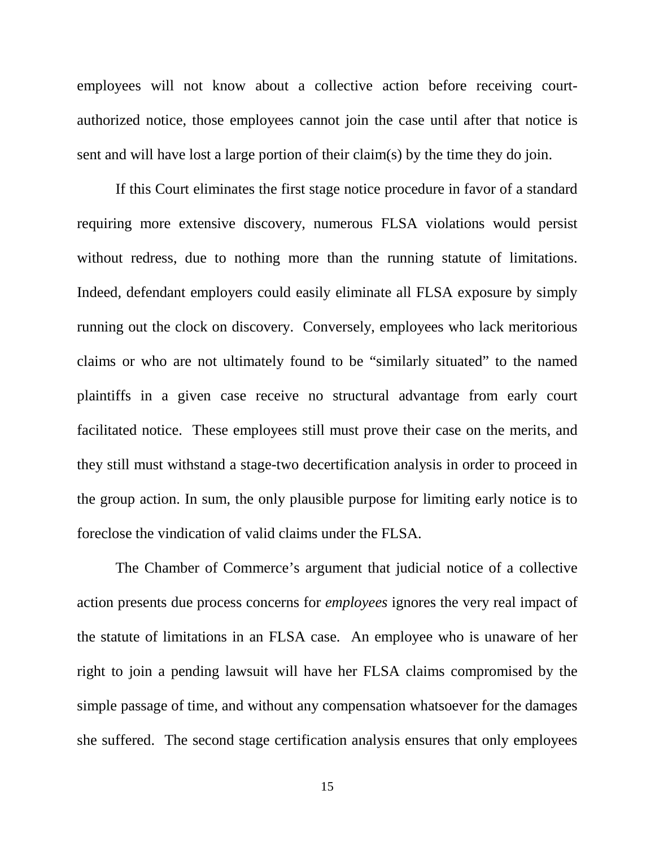employees will not know about a collective action before receiving courtauthorized notice, those employees cannot join the case until after that notice is sent and will have lost a large portion of their claim(s) by the time they do join.

If this Court eliminates the first stage notice procedure in favor of a standard requiring more extensive discovery, numerous FLSA violations would persist without redress, due to nothing more than the running statute of limitations. Indeed, defendant employers could easily eliminate all FLSA exposure by simply running out the clock on discovery. Conversely, employees who lack meritorious claims or who are not ultimately found to be "similarly situated" to the named plaintiffs in a given case receive no structural advantage from early court facilitated notice. These employees still must prove their case on the merits, and they still must withstand a stage-two decertification analysis in order to proceed in the group action. In sum, the only plausible purpose for limiting early notice is to foreclose the vindication of valid claims under the FLSA.

The Chamber of Commerce's argument that judicial notice of a collective action presents due process concerns for *employees* ignores the very real impact of the statute of limitations in an FLSA case. An employee who is unaware of her right to join a pending lawsuit will have her FLSA claims compromised by the simple passage of time, and without any compensation whatsoever for the damages she suffered. The second stage certification analysis ensures that only employees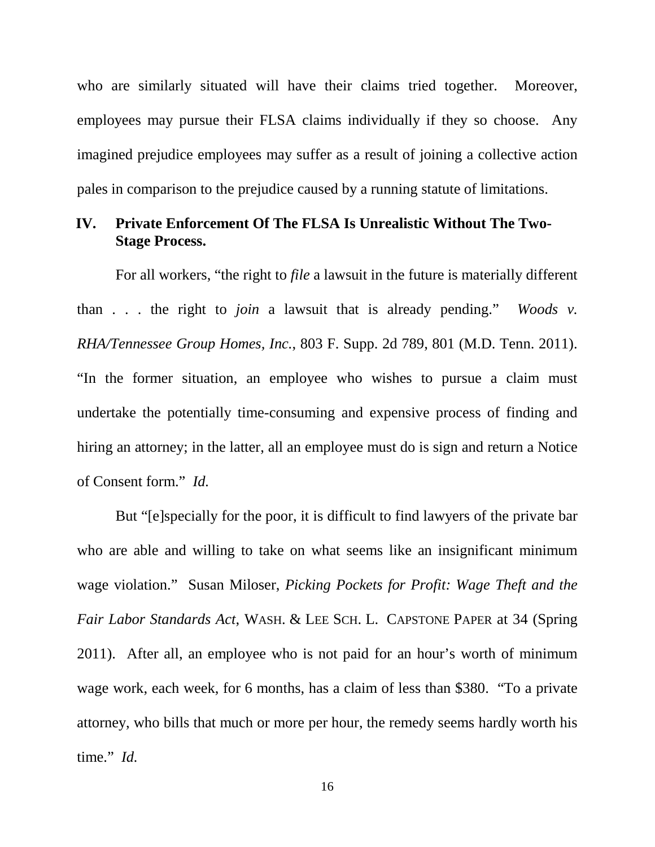who are similarly situated will have their claims tried together. Moreover, employees may pursue their FLSA claims individually if they so choose. Any imagined prejudice employees may suffer as a result of joining a collective action pales in comparison to the prejudice caused by a running statute of limitations.

## **IV. Private Enforcement Of The FLSA Is Unrealistic Without The Two-Stage Process.**

For all workers, "the right to *file* a lawsuit in the future is materially different than . . . the right to *join* a lawsuit that is already pending." *Woods v. RHA/Tennessee Group Homes, Inc.*, 803 F. Supp. 2d 789, 801 (M.D. Tenn. 2011). "In the former situation, an employee who wishes to pursue a claim must undertake the potentially time-consuming and expensive process of finding and hiring an attorney; in the latter, all an employee must do is sign and return a Notice of Consent form." *Id.*

But "[e]specially for the poor, it is difficult to find lawyers of the private bar who are able and willing to take on what seems like an insignificant minimum wage violation." Susan Miloser, *Picking Pockets for Profit: Wage Theft and the Fair Labor Standards Act*, WASH. & LEE SCH. L. CAPSTONE PAPER at 34 (Spring 2011). After all, an employee who is not paid for an hour's worth of minimum wage work, each week, for 6 months, has a claim of less than \$380. "To a private attorney, who bills that much or more per hour, the remedy seems hardly worth his time." *Id.*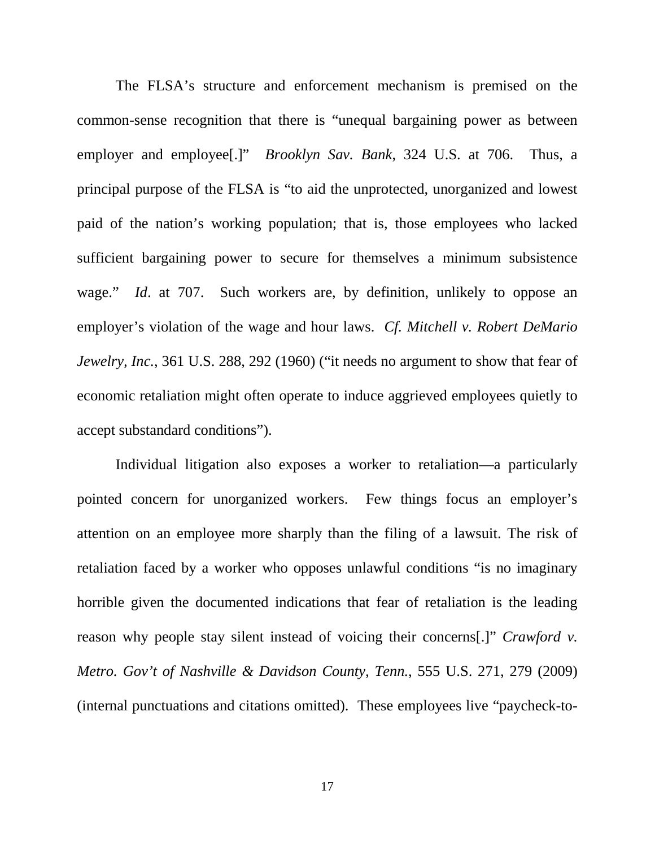The FLSA's structure and enforcement mechanism is premised on the common-sense recognition that there is "unequal bargaining power as between employer and employee[.]" *Brooklyn Sav. Bank*, 324 U.S. at 706. Thus, a principal purpose of the FLSA is "to aid the unprotected, unorganized and lowest paid of the nation's working population; that is, those employees who lacked sufficient bargaining power to secure for themselves a minimum subsistence wage." *Id*. at 707. Such workers are, by definition, unlikely to oppose an employer's violation of the wage and hour laws. *Cf. Mitchell v. Robert DeMario Jewelry, Inc.*, 361 U.S. 288, 292 (1960) ("it needs no argument to show that fear of economic retaliation might often operate to induce aggrieved employees quietly to accept substandard conditions").

Individual litigation also exposes a worker to retaliation—a particularly pointed concern for unorganized workers. Few things focus an employer's attention on an employee more sharply than the filing of a lawsuit. The risk of retaliation faced by a worker who opposes unlawful conditions "is no imaginary horrible given the documented indications that fear of retaliation is the leading reason why people stay silent instead of voicing their concerns[.]" *Crawford v. Metro. Gov't of Nashville & Davidson County, Tenn.*, 555 U.S. 271, 279 (2009) (internal punctuations and citations omitted). These employees live "paycheck-to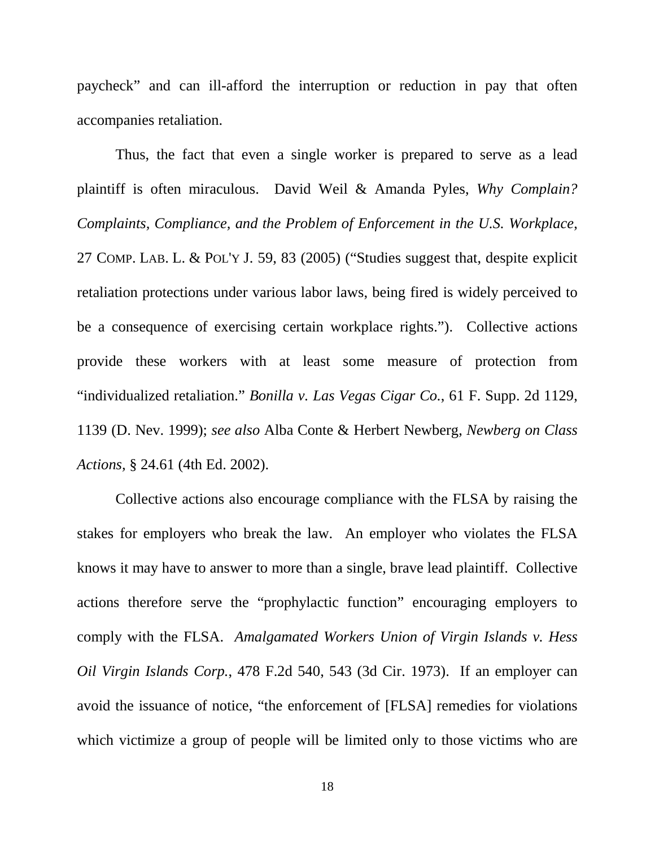paycheck" and can ill-afford the interruption or reduction in pay that often accompanies retaliation.

Thus, the fact that even a single worker is prepared to serve as a lead plaintiff is often miraculous. David Weil & Amanda Pyles, *Why Complain? Complaints, Compliance, and the Problem of Enforcement in the U.S. Workplace*, 27 COMP. LAB. L. & POL'Y J. 59, 83 (2005) ("Studies suggest that, despite explicit retaliation protections under various labor laws, being fired is widely perceived to be a consequence of exercising certain workplace rights."). Collective actions provide these workers with at least some measure of protection from "individualized retaliation." *Bonilla v. Las Vegas Cigar Co.*, 61 F. Supp. 2d 1129, 1139 (D. Nev. 1999); *see also* Alba Conte & Herbert Newberg, *Newberg on Class Actions,* § 24.61 (4th Ed. 2002).

Collective actions also encourage compliance with the FLSA by raising the stakes for employers who break the law. An employer who violates the FLSA knows it may have to answer to more than a single, brave lead plaintiff. Collective actions therefore serve the "prophylactic function" encouraging employers to comply with the FLSA. *Amalgamated Workers Union of Virgin Islands v. Hess Oil Virgin Islands Corp.*, 478 F.2d 540, 543 (3d Cir. 1973). If an employer can avoid the issuance of notice, "the enforcement of [FLSA] remedies for violations which victimize a group of people will be limited only to those victims who are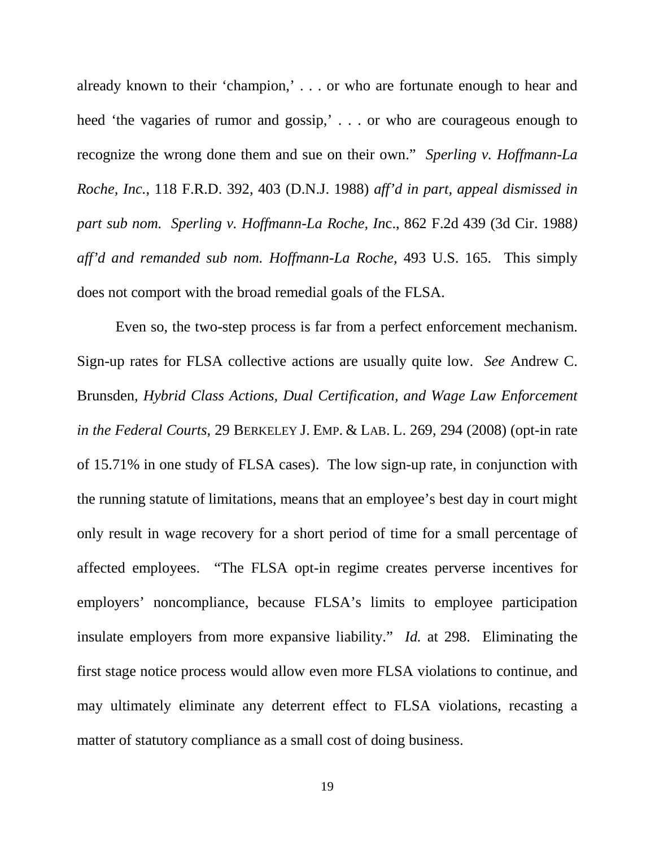already known to their 'champion,' . . . or who are fortunate enough to hear and heed 'the vagaries of rumor and gossip,' . . . or who are courageous enough to recognize the wrong done them and sue on their own." *Sperling v. Hoffmann-La Roche, Inc.*, 118 F.R.D. 392, 403 (D.N.J. 1988) *aff'd in part, appeal dismissed in part sub nom. Sperling v. Hoffmann-La Roche, In*c., 862 F.2d 439 (3d Cir. 1988*) aff'd and remanded sub nom. Hoffmann-La Roche,* 493 U.S. 165. This simply does not comport with the broad remedial goals of the FLSA.

Even so, the two-step process is far from a perfect enforcement mechanism. Sign-up rates for FLSA collective actions are usually quite low. *See* Andrew C. Brunsden, *Hybrid Class Actions, Dual Certification, and Wage Law Enforcement in the Federal Courts*, 29 BERKELEY J. EMP. & LAB. L. 269, 294 (2008) (opt-in rate of 15.71% in one study of FLSA cases). The low sign-up rate, in conjunction with the running statute of limitations, means that an employee's best day in court might only result in wage recovery for a short period of time for a small percentage of affected employees. "The FLSA opt-in regime creates perverse incentives for employers' noncompliance, because FLSA's limits to employee participation insulate employers from more expansive liability." *Id.* at 298. Eliminating the first stage notice process would allow even more FLSA violations to continue, and may ultimately eliminate any deterrent effect to FLSA violations, recasting a matter of statutory compliance as a small cost of doing business.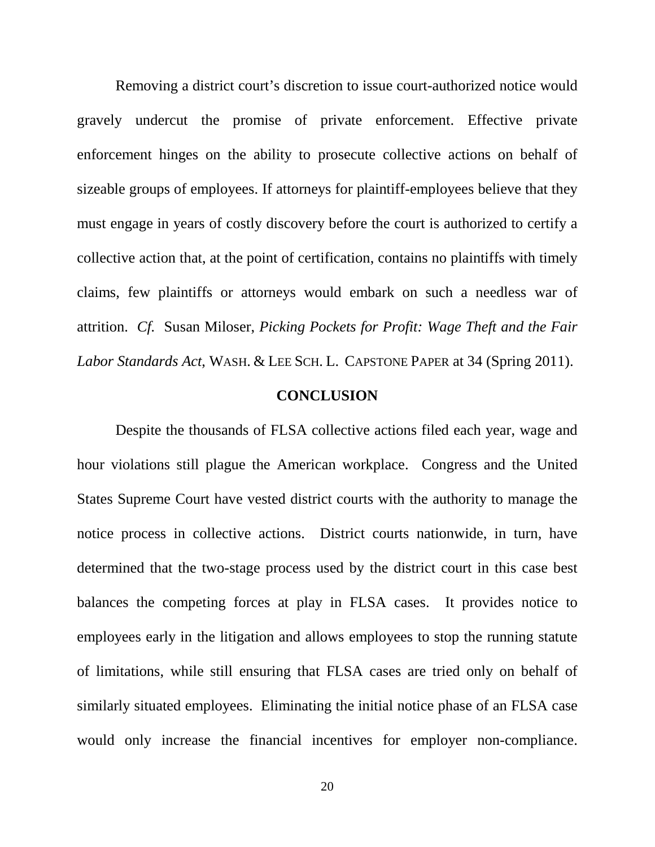Removing a district court's discretion to issue court-authorized notice would gravely undercut the promise of private enforcement. Effective private enforcement hinges on the ability to prosecute collective actions on behalf of sizeable groups of employees. If attorneys for plaintiff-employees believe that they must engage in years of costly discovery before the court is authorized to certify a collective action that, at the point of certification, contains no plaintiffs with timely claims, few plaintiffs or attorneys would embark on such a needless war of attrition. *Cf.* Susan Miloser, *Picking Pockets for Profit: Wage Theft and the Fair Labor Standards Act*, WASH. & LEE SCH. L. CAPSTONE PAPER at 34 (Spring 2011).

#### **CONCLUSION**

Despite the thousands of FLSA collective actions filed each year, wage and hour violations still plague the American workplace. Congress and the United States Supreme Court have vested district courts with the authority to manage the notice process in collective actions. District courts nationwide, in turn, have determined that the two-stage process used by the district court in this case best balances the competing forces at play in FLSA cases. It provides notice to employees early in the litigation and allows employees to stop the running statute of limitations, while still ensuring that FLSA cases are tried only on behalf of similarly situated employees. Eliminating the initial notice phase of an FLSA case would only increase the financial incentives for employer non-compliance.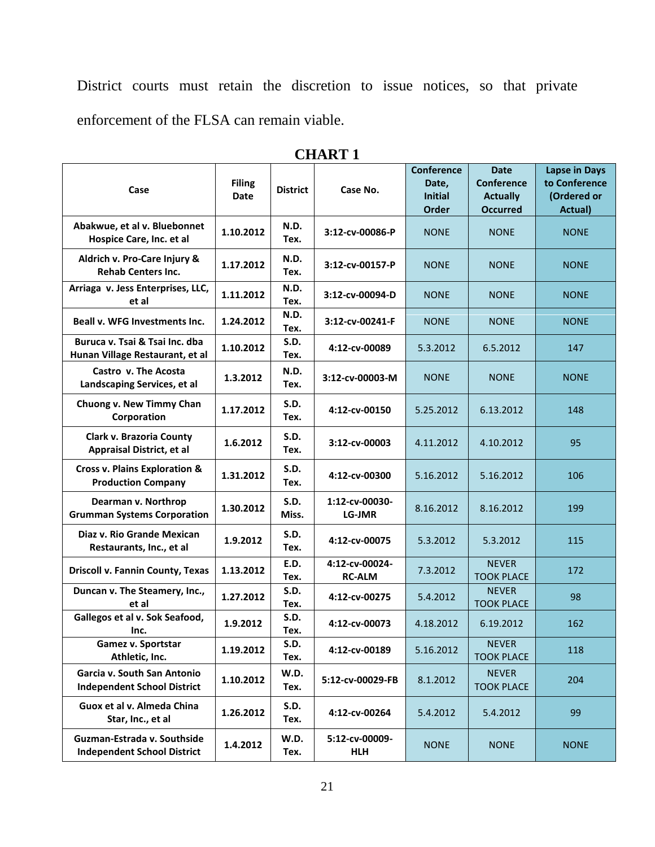District courts must retain the discretion to issue notices, so that private enforcement of the FLSA can remain viable.

| Case                                                                  | <b>Filing</b><br>Date | <b>District</b>      | Case No.                        | <b>Conference</b><br>Date.<br><b>Initial</b><br><b>Order</b> | <b>Date</b><br><b>Conference</b><br><b>Actually</b><br><b>Occurred</b> | <b>Lapse in Days</b><br>to Conference<br>(Ordered or<br>Actual) |
|-----------------------------------------------------------------------|-----------------------|----------------------|---------------------------------|--------------------------------------------------------------|------------------------------------------------------------------------|-----------------------------------------------------------------|
| Abakwue, et al v. Bluebonnet<br>Hospice Care, Inc. et al              | 1.10.2012             | N.D.<br>Tex.         | 3:12-cv-00086-P                 | <b>NONE</b>                                                  | <b>NONE</b>                                                            | <b>NONE</b>                                                     |
| Aldrich v. Pro-Care Injury &<br><b>Rehab Centers Inc.</b>             | 1.17.2012             | N.D.<br>Tex.         | 3:12-cv-00157-P                 | <b>NONE</b>                                                  | <b>NONE</b>                                                            | <b>NONE</b>                                                     |
| Arriaga v. Jess Enterprises, LLC,<br>et al                            | 1.11.2012             | N.D.<br>Tex.         | 3:12-cv-00094-D                 | <b>NONE</b>                                                  | <b>NONE</b>                                                            | <b>NONE</b>                                                     |
| <b>Beall v. WFG Investments Inc.</b>                                  | 1.24.2012             | N.D.<br>Tex.         | 3:12-cv-00241-F                 | <b>NONE</b>                                                  | <b>NONE</b>                                                            | <b>NONE</b>                                                     |
| Buruca v. Tsai & Tsai Inc. dba<br>Hunan Village Restaurant, et al     | 1.10.2012             | S.D.<br>Tex.         | 4:12-cv-00089                   | 5.3.2012                                                     | 6.5.2012                                                               | 147                                                             |
| Castro v. The Acosta<br>Landscaping Services, et al                   | 1.3.2012              | N.D.<br>Tex.         | 3:12-cv-00003-M                 | <b>NONE</b>                                                  | <b>NONE</b>                                                            | <b>NONE</b>                                                     |
| Chuong v. New Timmy Chan<br>Corporation                               | 1.17.2012             | S.D.<br>Tex.         | 4:12-cv-00150                   | 5.25.2012                                                    | 6.13.2012                                                              | 148                                                             |
| <b>Clark v. Brazoria County</b><br><b>Appraisal District, et al</b>   | 1.6.2012              | S.D.<br>Tex.         | 3:12-cv-00003                   | 4.11.2012                                                    | 4.10.2012                                                              | 95                                                              |
| <b>Cross v. Plains Exploration &amp;</b><br><b>Production Company</b> | 1.31.2012             | S.D.<br>Tex.         | 4:12-cv-00300                   | 5.16.2012                                                    | 5.16.2012                                                              | 106                                                             |
| Dearman v. Northrop<br><b>Grumman Systems Corporation</b>             | 1.30.2012             | <b>S.D.</b><br>Miss. | 1:12-cv-00030-<br>LG-JMR        | 8.16.2012                                                    | 8.16.2012                                                              | 199                                                             |
| Diaz v. Rio Grande Mexican<br>Restaurants, Inc., et al                | 1.9.2012              | S.D.<br>Tex.         | 4:12-cv-00075                   | 5.3.2012                                                     | 5.3.2012                                                               | 115                                                             |
| <b>Driscoll v. Fannin County, Texas</b>                               | 1.13.2012             | E.D.<br>Tex.         | 4:12-cv-00024-<br><b>RC-ALM</b> | 7.3.2012                                                     | <b>NEVER</b><br><b>TOOK PLACE</b>                                      | 172                                                             |
| Duncan v. The Steamery, Inc.,<br>et al                                | 1.27.2012             | S.D.<br>Tex.         | 4:12-cv-00275                   | 5.4.2012                                                     | <b>NEVER</b><br><b>TOOK PLACE</b>                                      | 98                                                              |
| Gallegos et al v. Sok Seafood,<br>Inc.                                | 1.9.2012              | S.D.<br>Tex.         | 4:12-cv-00073                   | 4.18.2012                                                    | 6.19.2012                                                              | 162                                                             |
| Gamez v. Sportstar<br>Athletic, Inc.                                  | 1.19.2012             | <b>S.D.</b><br>Tex.  | 4:12-cv-00189                   | 5.16.2012                                                    | <b>NEVER</b><br><b>TOOK PLACE</b>                                      | 118                                                             |
| Garcia v. South San Antonio<br><b>Independent School District</b>     | 1.10.2012             | W.D.<br>Tex.         | 5:12-cv-00029-FB                | 8.1.2012                                                     | <b>NEVER</b><br><b>TOOK PLACE</b>                                      | 204                                                             |
| Guox et al v. Almeda China<br>Star, Inc., et al                       | 1.26.2012             | <b>S.D.</b><br>Tex.  | 4:12-cv-00264                   | 5.4.2012                                                     | 5.4.2012                                                               | 99                                                              |
| Guzman-Estrada v. Southside<br><b>Independent School District</b>     | 1.4.2012              | W.D.<br>Tex.         | 5:12-cv-00009-<br><b>HLH</b>    | <b>NONE</b>                                                  | <b>NONE</b>                                                            | <b>NONE</b>                                                     |

**CHART 1**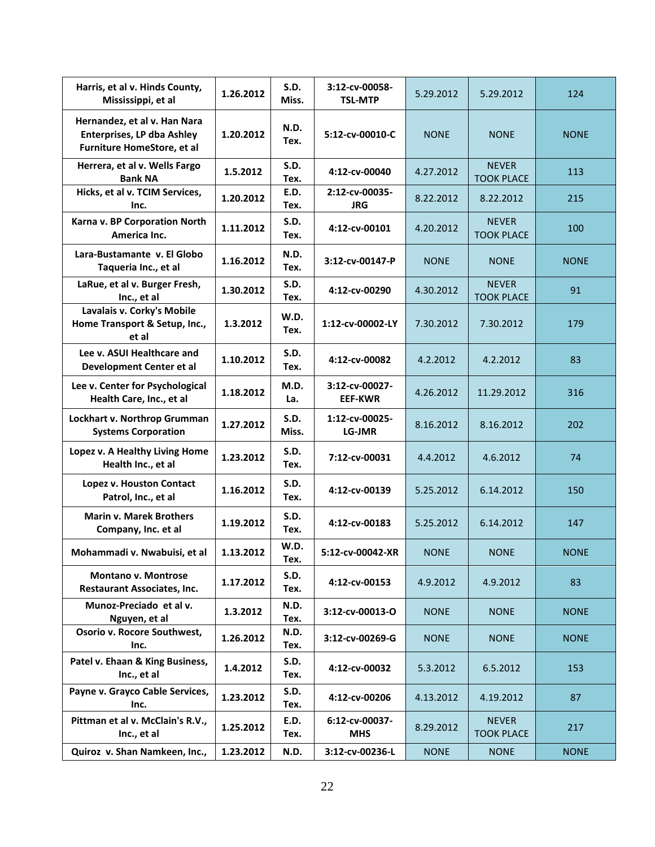| Harris, et al v. Hinds County,<br>Mississippi, et al                                            | 1.26.2012 | S.D.<br>Miss.       | 3:12-cv-00058-<br><b>TSL-MTP</b> | 5.29.2012   | 5.29.2012                         | 124         |
|-------------------------------------------------------------------------------------------------|-----------|---------------------|----------------------------------|-------------|-----------------------------------|-------------|
| Hernandez, et al v. Han Nara<br><b>Enterprises, LP dba Ashley</b><br>Furniture HomeStore, et al | 1.20.2012 | N.D.<br>Tex.        | 5:12-cv-00010-C                  | <b>NONE</b> | <b>NONE</b>                       | <b>NONE</b> |
| Herrera, et al v. Wells Fargo<br><b>Bank NA</b>                                                 | 1.5.2012  | S.D.<br>Tex.        | 4:12-cv-00040                    | 4.27.2012   | <b>NEVER</b><br><b>TOOK PLACE</b> | 113         |
| Hicks, et al v. TCIM Services,<br>Inc.                                                          | 1.20.2012 | E.D.<br>Tex.        | 2:12-cv-00035-<br><b>JRG</b>     | 8.22.2012   | 8.22.2012                         | 215         |
| Karna v. BP Corporation North<br>America Inc.                                                   | 1.11.2012 | S.D.<br>Tex.        | 4:12-cv-00101                    | 4.20.2012   | <b>NEVER</b><br><b>TOOK PLACE</b> | 100         |
| Lara-Bustamante v. El Globo<br>Taqueria Inc., et al                                             | 1.16.2012 | N.D.<br>Tex.        | 3:12-cv-00147-P                  | <b>NONE</b> | <b>NONE</b>                       | <b>NONE</b> |
| LaRue, et al v. Burger Fresh,<br>Inc., et al                                                    | 1.30.2012 | S.D.<br>Tex.        | 4:12-cv-00290                    | 4.30.2012   | <b>NEVER</b><br><b>TOOK PLACE</b> | 91          |
| Lavalais v. Corky's Mobile<br>Home Transport & Setup, Inc.,<br>et al                            | 1.3.2012  | W.D.<br>Tex.        | 1:12-cv-00002-LY                 | 7.30.2012   | 7.30.2012                         | 179         |
| Lee v. ASUI Healthcare and<br>Development Center et al                                          | 1.10.2012 | S.D.<br>Tex.        | 4:12-cv-00082                    | 4.2.2012    | 4.2.2012                          | 83          |
| Lee v. Center for Psychological<br>Health Care, Inc., et al                                     | 1.18.2012 | M.D.<br>La.         | 3:12-cv-00027-<br><b>EEF-KWR</b> | 4.26.2012   | 11.29.2012                        | 316         |
| Lockhart v. Northrop Grumman<br><b>Systems Corporation</b>                                      | 1.27.2012 | S.D.<br>Miss.       | 1:12-cv-00025-<br>LG-JMR         | 8.16.2012   | 8.16.2012                         | 202         |
| Lopez v. A Healthy Living Home<br>Health Inc., et al                                            | 1.23.2012 | <b>S.D.</b><br>Tex. | 7:12-cv-00031                    | 4.4.2012    | 4.6.2012                          | 74          |
| Lopez v. Houston Contact<br>Patrol, Inc., et al                                                 | 1.16.2012 | <b>S.D.</b><br>Tex. | 4:12-cv-00139                    | 5.25.2012   | 6.14.2012                         | 150         |
| <b>Marin v. Marek Brothers</b><br>Company, Inc. et al                                           | 1.19.2012 | S.D.<br>Tex.        | 4:12-cv-00183                    | 5.25.2012   | 6.14.2012                         | 147         |
| Mohammadi v. Nwabuisi, et al                                                                    | 1.13.2012 | W.D.<br>Tex.        | 5:12-cv-00042-XR                 | <b>NONE</b> | <b>NONE</b>                       | <b>NONE</b> |
| <b>Montano v. Montrose</b><br><b>Restaurant Associates, Inc.</b>                                | 1.17.2012 | S.D.<br>Tex.        | 4:12-cv-00153                    | 4.9.2012    | 4.9.2012                          | 83          |
| Munoz-Preciado et al v.<br>Nguyen, et al                                                        | 1.3.2012  | N.D.<br>Tex.        | 3:12-cv-00013-O                  | <b>NONE</b> | <b>NONE</b>                       | <b>NONE</b> |
| Osorio v. Rocore Southwest,<br>Inc.                                                             | 1.26.2012 | N.D.<br>Tex.        | 3:12-cv-00269-G                  | <b>NONE</b> | <b>NONE</b>                       | <b>NONE</b> |
| Patel v. Ehaan & King Business,<br>Inc., et al                                                  | 1.4.2012  | S.D.<br>Tex.        | 4:12-cv-00032                    | 5.3.2012    | 6.5.2012                          | 153         |
| Payne v. Grayco Cable Services,<br>Inc.                                                         | 1.23.2012 | <b>S.D.</b><br>Tex. | 4:12-cv-00206                    | 4.13.2012   | 4.19.2012                         | 87          |
| Pittman et al v. McClain's R.V.,<br>Inc., et al                                                 | 1.25.2012 | E.D.<br>Tex.        | 6:12-cv-00037-<br><b>MHS</b>     | 8.29.2012   | <b>NEVER</b><br><b>TOOK PLACE</b> | 217         |
| Quiroz v. Shan Namkeen, Inc.,                                                                   | 1.23.2012 | N.D.                | 3:12-cv-00236-L                  | <b>NONE</b> | <b>NONE</b>                       | <b>NONE</b> |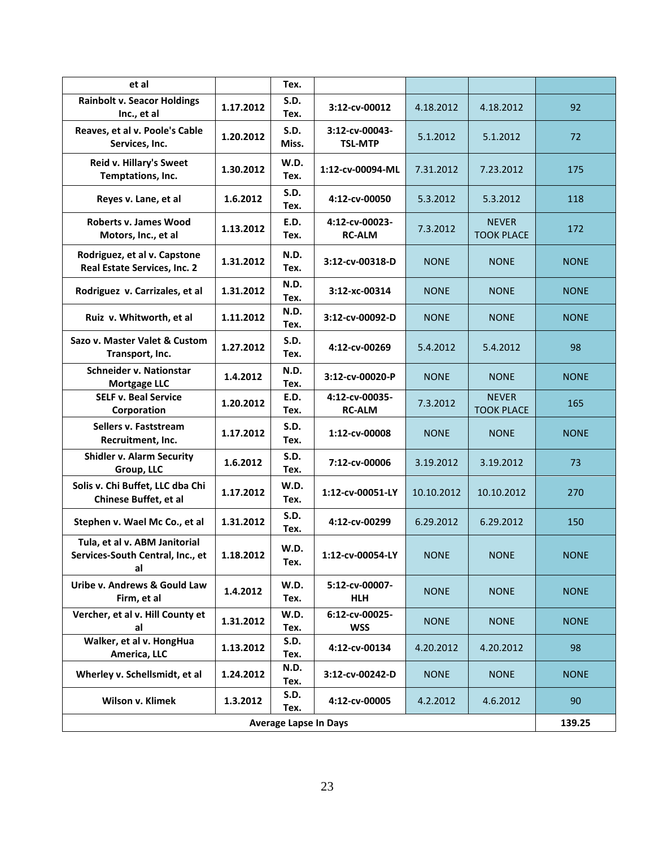| et al                                                                   |           | Tex.                 |                                  |             |                                   |             |
|-------------------------------------------------------------------------|-----------|----------------------|----------------------------------|-------------|-----------------------------------|-------------|
| <b>Rainbolt v. Seacor Holdings</b><br>Inc., et al                       | 1.17.2012 | S.D.<br>Tex.         | 3:12-cv-00012                    | 4.18.2012   | 4.18.2012                         | 92          |
| Reaves, et al v. Poole's Cable<br>Services, Inc.                        | 1.20.2012 | <b>S.D.</b><br>Miss. | 3:12-cv-00043-<br><b>TSL-MTP</b> | 5.1.2012    | 5.1.2012                          | 72          |
| Reid v. Hillary's Sweet<br>Temptations, Inc.                            | 1.30.2012 | W.D.<br>Tex.         | 1:12-cv-00094-ML                 | 7.31.2012   | 7.23.2012                         | 175         |
| Reyes v. Lane, et al                                                    | 1.6.2012  | S.D.<br>Tex.         | 4:12-cv-00050                    | 5.3.2012    | 5.3.2012                          | 118         |
| <b>Roberts v. James Wood</b><br>Motors, Inc., et al                     | 1.13.2012 | E.D.<br>Tex.         | 4:12-cv-00023-<br><b>RC-ALM</b>  | 7.3.2012    | <b>NEVER</b><br><b>TOOK PLACE</b> | 172         |
| Rodriguez, et al v. Capstone<br>Real Estate Services, Inc. 2            | 1.31.2012 | N.D.<br>Tex.         | 3:12-cv-00318-D                  | <b>NONE</b> | <b>NONE</b>                       | <b>NONE</b> |
| Rodriguez v. Carrizales, et al                                          | 1.31.2012 | N.D.<br>Tex.         | 3:12-хс-00314                    | <b>NONE</b> | <b>NONE</b>                       | <b>NONE</b> |
| Ruiz v. Whitworth, et al                                                | 1.11.2012 | N.D.<br>Tex.         | 3:12-cv-00092-D                  | <b>NONE</b> | <b>NONE</b>                       | <b>NONE</b> |
| Sazo v. Master Valet & Custom<br>Transport, Inc.                        | 1.27.2012 | <b>S.D.</b><br>Tex.  | 4:12-cv-00269                    | 5.4.2012    | 5.4.2012                          | 98          |
| <b>Schneider v. Nationstar</b><br><b>Mortgage LLC</b>                   | 1.4.2012  | N.D.<br>Tex.         | 3:12-cv-00020-P                  | <b>NONE</b> | <b>NONE</b>                       | <b>NONE</b> |
| <b>SELF v. Beal Service</b><br>Corporation                              | 1.20.2012 | E.D.<br>Tex.         | 4:12-cv-00035-<br><b>RC-ALM</b>  | 7.3.2012    | <b>NEVER</b><br><b>TOOK PLACE</b> | 165         |
| Sellers v. Faststream<br>Recruitment, Inc.                              | 1.17.2012 | S.D.<br>Tex.         | 1:12-cv-00008                    | <b>NONE</b> | <b>NONE</b>                       | <b>NONE</b> |
| <b>Shidler v. Alarm Security</b><br>Group, LLC                          | 1.6.2012  | <b>S.D.</b><br>Tex.  | 7:12-cv-00006                    | 3.19.2012   | 3.19.2012                         | 73          |
| Solis v. Chi Buffet, LLC dba Chi<br>Chinese Buffet, et al               | 1.17.2012 | W.D.<br>Tex.         | 1:12-cv-00051-LY                 | 10.10.2012  | 10.10.2012                        | 270         |
| Stephen v. Wael Mc Co., et al                                           | 1.31.2012 | <b>S.D.</b><br>Tex.  | 4:12-cv-00299                    | 6.29.2012   | 6.29.2012                         | 150         |
| Tula, et al v. ABM Janitorial<br>Services-South Central, Inc., et<br>al | 1.18.2012 | W.D.<br>Tex.         | 1:12-cv-00054-LY                 | <b>NONE</b> | <b>NONE</b>                       | <b>NONE</b> |
| Uribe v. Andrews & Gould Law<br>Firm, et al                             | 1.4.2012  | W.D.<br>Tex.         | 5:12-cv-00007-<br><b>HLH</b>     | <b>NONE</b> | <b>NONE</b>                       | <b>NONE</b> |
| Vercher, et al v. Hill County et<br>al                                  | 1.31.2012 | W.D.<br>Tex.         | 6:12-cv-00025-<br><b>WSS</b>     | <b>NONE</b> | <b>NONE</b>                       | <b>NONE</b> |
| Walker, et al v. HongHua<br>America, LLC                                | 1.13.2012 | <b>S.D.</b><br>Tex.  | 4:12-cv-00134                    | 4.20.2012   | 4.20.2012                         | 98          |
| Wherley v. Schellsmidt, et al                                           | 1.24.2012 | N.D.<br>Tex.         | 3:12-cv-00242-D                  | <b>NONE</b> | <b>NONE</b>                       | <b>NONE</b> |
| Wilson v. Klimek                                                        | 1.3.2012  | S.D.<br>Tex.         | 4:12-cv-00005                    | 4.2.2012    | 4.6.2012                          | 90          |
| <b>Average Lapse In Days</b>                                            |           |                      |                                  |             |                                   | 139.25      |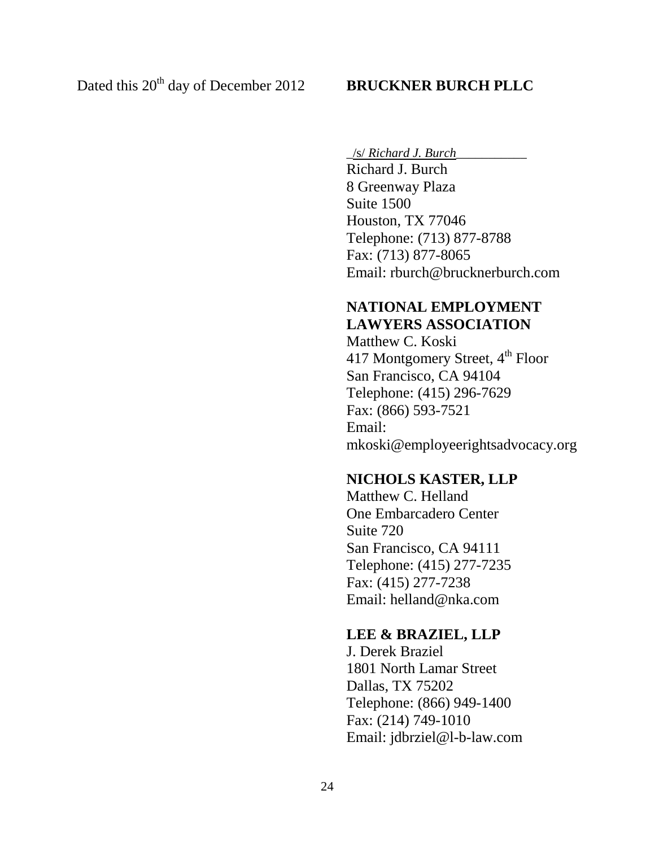\_/s/ *Richard J. Burch*\_\_\_\_\_\_\_\_\_\_\_

Richard J. Burch 8 Greenway Plaza Suite 1500 Houston, TX 77046 Telephone: (713) 877-8788 Fax: (713) 877-8065 Email: rburch@brucknerburch.com

# **NATIONAL EMPLOYMENT LAWYERS ASSOCIATION**

Matthew C. Koski 417 Montgomery Street, 4<sup>th</sup> Floor San Francisco, CA 94104 Telephone: (415) 296-7629 Fax: (866) 593-7521 Email: mkoski@employeerightsadvocacy.org

## **NICHOLS KASTER, LLP**

Matthew C. Helland One Embarcadero Center Suite 720 San Francisco, CA 94111 Telephone: (415) 277-7235 Fax: (415) 277-7238 Email: helland@nka.com

## **LEE & BRAZIEL, LLP**

J. Derek Braziel 1801 North Lamar Street Dallas, TX 75202 Telephone: (866) 949-1400 Fax: (214) 749-1010 Email: jdbrziel@l-b-law.com